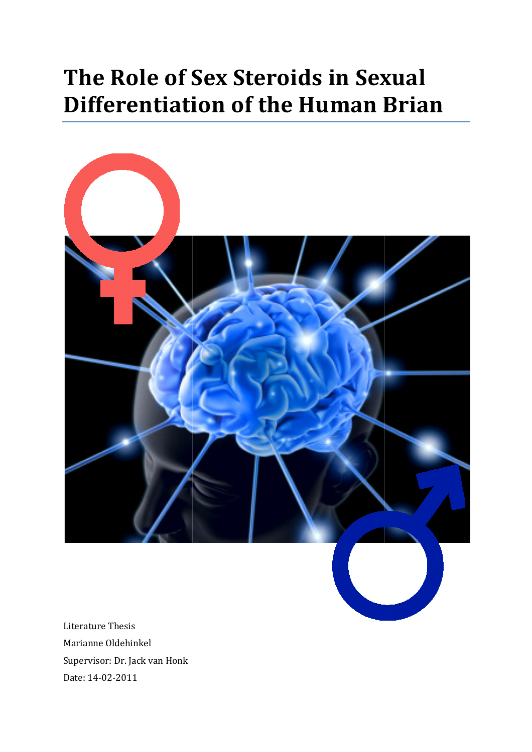# The Role of Sex Steroids in Sexual Differentiation of the Human Brian



Literature Thesis Marianne Oldehinkel Supervisor: Dr. Jack van Honk Date: 14-02-2011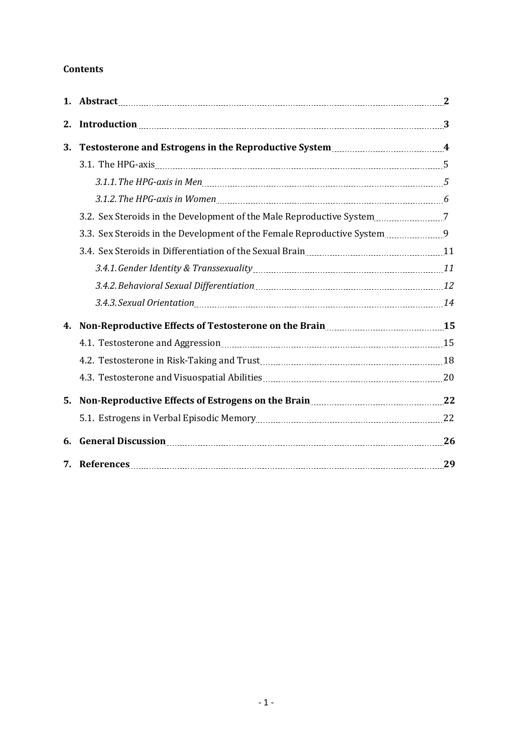# Contents

| 2. | Introduction 23                                                                                                           |    |
|----|---------------------------------------------------------------------------------------------------------------------------|----|
| 3. |                                                                                                                           |    |
|    |                                                                                                                           |    |
|    |                                                                                                                           |    |
|    |                                                                                                                           |    |
|    | 3.2. Sex Steroids in the Development of the Male Reproductive System [11, 2016] 7                                         |    |
|    | 3.3. Sex Steroids in the Development of the Female Reproductive System 9                                                  |    |
|    |                                                                                                                           |    |
|    |                                                                                                                           |    |
|    |                                                                                                                           |    |
|    | 3.4.3. Sexual Orientation [14] The Second State of the Case of Alan Assembly Discover and Table 3.4.3. Sexual Orientation |    |
| 4. | Non-Reproductive Effects of Testosterone on the Brain <b>Marson</b> 25                                                    |    |
|    |                                                                                                                           |    |
|    |                                                                                                                           |    |
|    |                                                                                                                           |    |
| 5. | Non-Reproductive Effects of Estrogens on the Brain<br>22                                                                  |    |
|    |                                                                                                                           |    |
| 6. |                                                                                                                           |    |
|    |                                                                                                                           | 29 |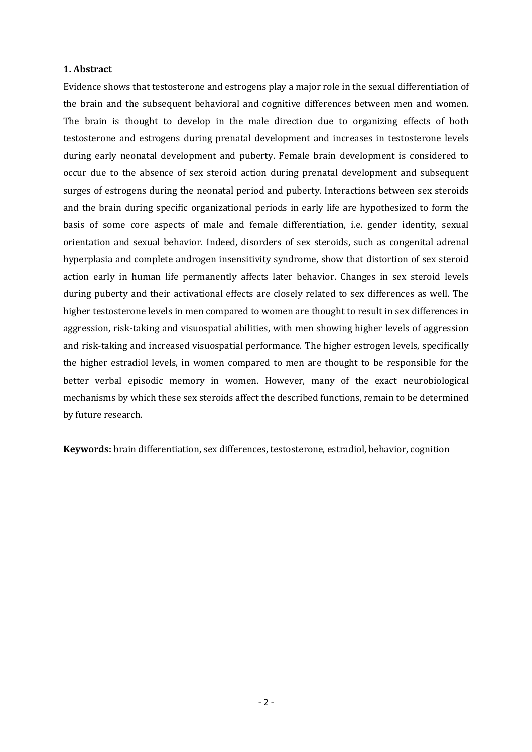# 1. Abstract

Evidence shows that testosterone and estrogens play a major role in the sexual differentiation of the brain and the subsequent behavioral and cognitive differences between men and women. The brain is thought to develop in the male direction due to organizing effects of both testosterone and estrogens during prenatal development and increases in testosterone levels during early neonatal development and puberty. Female brain development is considered to occur due to the absence of sex steroid action during prenatal development and subsequent surges of estrogens during the neonatal period and puberty. Interactions between sex steroids and the brain during specific organizational periods in early life are hypothesized to form the basis of some core aspects of male and female differentiation, i.e. gender identity, sexual orientation and sexual behavior. Indeed, disorders of sex steroids, such as congenital adrenal hyperplasia and complete androgen insensitivity syndrome, show that distortion of sex steroid action early in human life permanently affects later behavior. Changes in sex steroid levels during puberty and their activational effects are closely related to sex differences as well. The higher testosterone levels in men compared to women are thought to result in sex differences in aggression, risk-taking and visuospatial abilities, with men showing higher levels of aggression and risk-taking and increased visuospatial performance. The higher estrogen levels, specifically the higher estradiol levels, in women compared to men are thought to be responsible for the better verbal episodic memory in women. However, many of the exact neurobiological mechanisms by which these sex steroids affect the described functions, remain to be determined by future research.

Keywords: brain differentiation, sex differences, testosterone, estradiol, behavior, cognition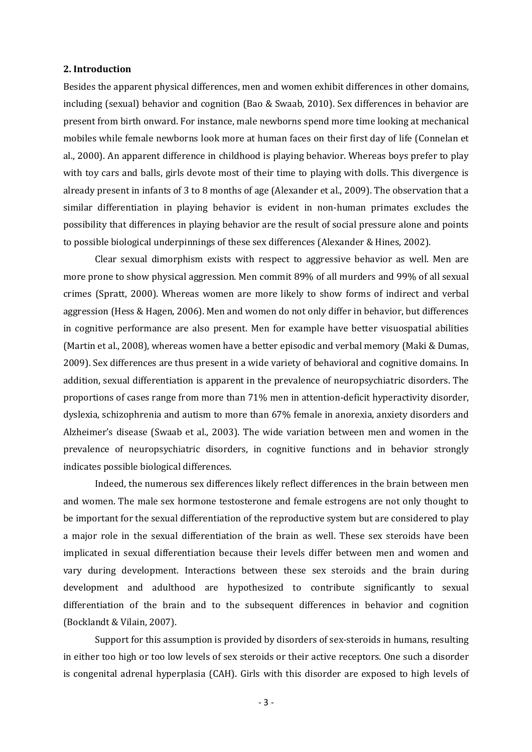# 2. Introduction

Besides the apparent physical differences, men and women exhibit differences in other domains, including (sexual) behavior and cognition (Bao & Swaab, 2010). Sex differences in behavior are present from birth onward. For instance, male newborns spend more time looking at mechanical mobiles while female newborns look more at human faces on their first day of life (Connelan et al., 2000). An apparent difference in childhood is playing behavior. Whereas boys prefer to play with toy cars and balls, girls devote most of their time to playing with dolls. This divergence is already present in infants of 3 to 8 months of age (Alexander et al., 2009). The observation that a similar differentiation in playing behavior is evident in non-human primates excludes the possibility that differences in playing behavior are the result of social pressure alone and points to possible biological underpinnings of these sex differences (Alexander & Hines, 2002).

Clear sexual dimorphism exists with respect to aggressive behavior as well. Men are more prone to show physical aggression. Men commit 89% of all murders and 99% of all sexual crimes (Spratt, 2000). Whereas women are more likely to show forms of indirect and verbal aggression (Hess & Hagen, 2006). Men and women do not only differ in behavior, but differences in cognitive performance are also present. Men for example have better visuospatial abilities (Martin et al., 2008), whereas women have a better episodic and verbal memory (Maki & Dumas, 2009). Sex differences are thus present in a wide variety of behavioral and cognitive domains. In addition, sexual differentiation is apparent in the prevalence of neuropsychiatric disorders. The proportions of cases range from more than 71% men in attention-deficit hyperactivity disorder, dyslexia, schizophrenia and autism to more than 67% female in anorexia, anxiety disorders and Alzheimer's disease (Swaab et al., 2003). The wide variation between men and women in the prevalence of neuropsychiatric disorders, in cognitive functions and in behavior strongly indicates possible biological differences.

Indeed, the numerous sex differences likely reflect differences in the brain between men and women. The male sex hormone testosterone and female estrogens are not only thought to be important for the sexual differentiation of the reproductive system but are considered to play a major role in the sexual differentiation of the brain as well. These sex steroids have been implicated in sexual differentiation because their levels differ between men and women and vary during development. Interactions between these sex steroids and the brain during development and adulthood are hypothesized to contribute significantly to sexual differentiation of the brain and to the subsequent differences in behavior and cognition (Bocklandt & Vilain, 2007).

Support for this assumption is provided by disorders of sex-steroids in humans, resulting in either too high or too low levels of sex steroids or their active receptors. One such a disorder is congenital adrenal hyperplasia (CAH). Girls with this disorder are exposed to high levels of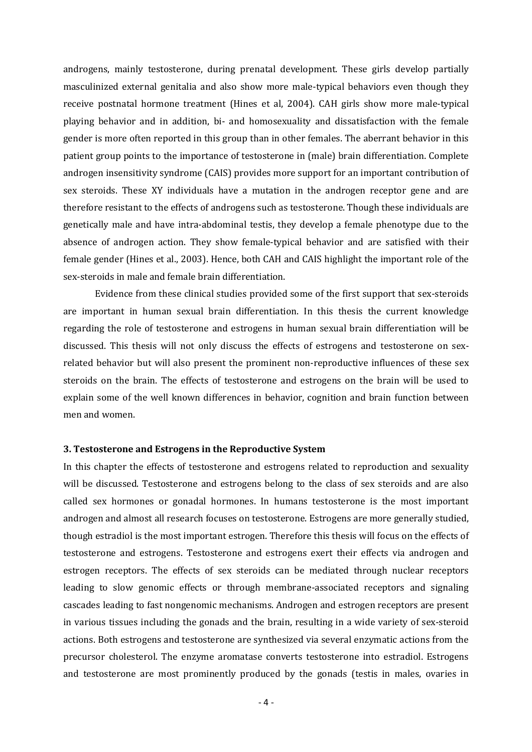androgens, mainly testosterone, during prenatal development. These girls develop partially masculinized external genitalia and also show more male-typical behaviors even though they receive postnatal hormone treatment (Hines et al, 2004). CAH girls show more male-typical playing behavior and in addition, bi- and homosexuality and dissatisfaction with the female gender is more often reported in this group than in other females. The aberrant behavior in this patient group points to the importance of testosterone in (male) brain differentiation. Complete androgen insensitivity syndrome (CAIS) provides more support for an important contribution of sex steroids. These XY individuals have a mutation in the androgen receptor gene and are therefore resistant to the effects of androgens such as testosterone. Though these individuals are genetically male and have intra-abdominal testis, they develop a female phenotype due to the absence of androgen action. They show female-typical behavior and are satisfied with their female gender (Hines et al., 2003). Hence, both CAH and CAIS highlight the important role of the sex-steroids in male and female brain differentiation.

Evidence from these clinical studies provided some of the first support that sex-steroids are important in human sexual brain differentiation. In this thesis the current knowledge regarding the role of testosterone and estrogens in human sexual brain differentiation will be discussed. This thesis will not only discuss the effects of estrogens and testosterone on sexrelated behavior but will also present the prominent non-reproductive influences of these sex steroids on the brain. The effects of testosterone and estrogens on the brain will be used to explain some of the well known differences in behavior, cognition and brain function between men and women.

#### 3. Testosterone and Estrogens in the Reproductive System

In this chapter the effects of testosterone and estrogens related to reproduction and sexuality will be discussed. Testosterone and estrogens belong to the class of sex steroids and are also called sex hormones or gonadal hormones. In humans testosterone is the most important androgen and almost all research focuses on testosterone. Estrogens are more generally studied, though estradiol is the most important estrogen. Therefore this thesis will focus on the effects of testosterone and estrogens. Testosterone and estrogens exert their effects via androgen and estrogen receptors. The effects of sex steroids can be mediated through nuclear receptors leading to slow genomic effects or through membrane-associated receptors and signaling cascades leading to fast nongenomic mechanisms. Androgen and estrogen receptors are present in various tissues including the gonads and the brain, resulting in a wide variety of sex-steroid actions. Both estrogens and testosterone are synthesized via several enzymatic actions from the precursor cholesterol. The enzyme aromatase converts testosterone into estradiol. Estrogens and testosterone are most prominently produced by the gonads (testis in males, ovaries in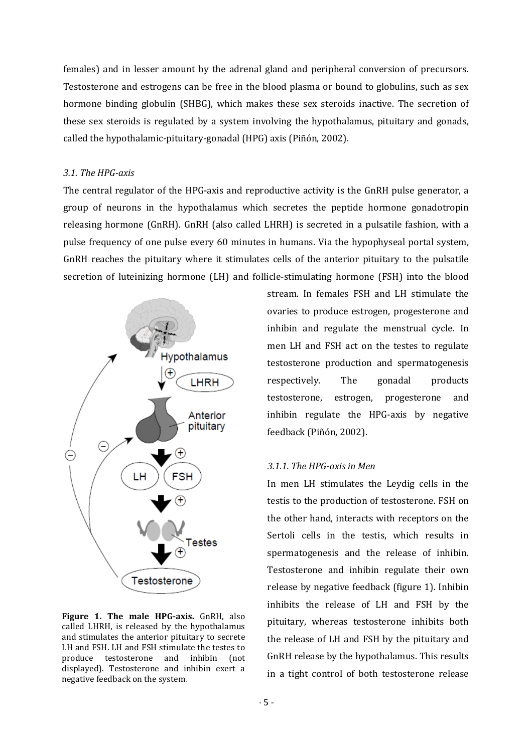females) and in lesser amount by the adrenal gland and peripheral conversion of precursors. Testosterone and estrogens can be free in the blood plasma or bound to globulins, such as sex hormone binding globulin (SHBG), which makes these sex steroids inactive. The secretion of these sex steroids is regulated by a system involving the hypothalamus, pituitary and gonads, called the hypothalamic-pituitary-gonadal (HPG) axis (Piñón, 2002).

#### 3.1. The HPG-axis

The central regulator of the HPG-axis and reproductive activity is the GnRH pulse generator, a group of neurons in the hypothalamus which secretes the peptide hormone gonadotropin releasing hormone (GnRH). GnRH (also called LHRH) is secreted in a pulsatile fashion, with a pulse frequency of one pulse every 60 minutes in humans. Via the hypophyseal portal system, GnRH reaches the pituitary where it stimulates cells of the anterior pituitary to the pulsatile secretion of luteinizing hormone (LH) and follicle-stimulating hormone (FSH) into the blood



Figure 1. The male HPG-axis. GnRH, also called LHRH, is released by the hypothalamus and stimulates the anterior pituitary to secrete LH and FSH. LH and FSH stimulate the testes to produce testosterone and inhibin (not displayed). Testosterone and inhibin exert a negative feedback on the system.

stream. In females FSH and LH stimulate the ovaries to produce estrogen, progesterone and inhibin and regulate the menstrual cycle. In men LH and FSH act on the testes to regulate testosterone production and spermatogenesis respectively. The gonadal products testosterone, estrogen, progesterone and inhibin regulate the HPG-axis by negative feedback (Piñón, 2002).

#### 3.1.1. The HPG-axis in Men

In men LH stimulates the Leydig cells in the testis to the production of testosterone. FSH on the other hand, interacts with receptors on the Sertoli cells in the testis, which results in spermatogenesis and the release of inhibin. Testosterone and inhibin regulate their own release by negative feedback (figure 1). Inhibin inhibits the release of LH and FSH by the pituitary, whereas testosterone inhibits both the release of LH and FSH by the pituitary and GnRH release by the hypothalamus. This results in a tight control of both testosterone release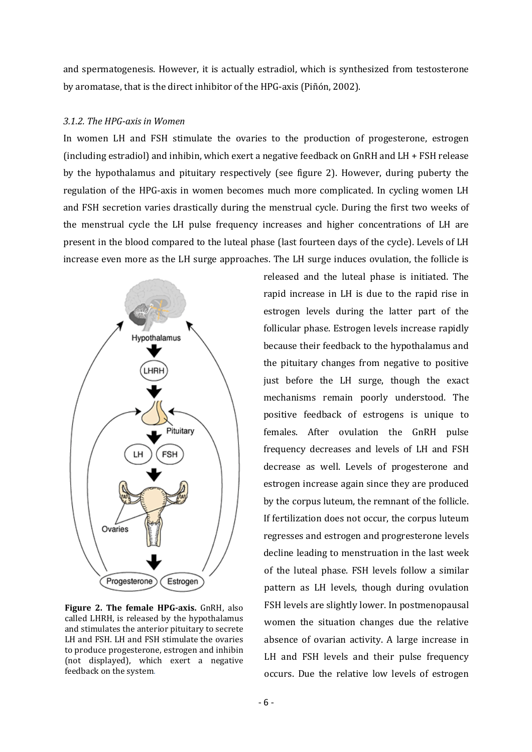and spermatogenesis. However, it is actually estradiol, which is synthesized from testosterone by aromatase, that is the direct inhibitor of the HPG-axis (Piñón, 2002).

#### 3.1.2. The HPG-axis in Women

In women LH and FSH stimulate the ovaries to the production of progesterone, estrogen (including estradiol) and inhibin, which exert a negative feedback on GnRH and LH + FSH release by the hypothalamus and pituitary respectively (see figure 2). However, during puberty the regulation of the HPG-axis in women becomes much more complicated. In cycling women LH and FSH secretion varies drastically during the menstrual cycle. During the first two weeks of the menstrual cycle the LH pulse frequency increases and higher concentrations of LH are present in the blood compared to the luteal phase (last fourteen days of the cycle). Levels of LH increase even more as the LH surge approaches. The LH surge induces ovulation, the follicle is



Figure 2. The female HPG-axis. GnRH, also called LHRH, is released by the hypothalamus and stimulates the anterior pituitary to secrete LH and FSH. LH and FSH stimulate the ovaries to produce progesterone, estrogen and inhibin (not displayed), which exert a negative feedback on the system.

released and the luteal phase is initiated. The rapid increase in LH is due to the rapid rise in estrogen levels during the latter part of the follicular phase. Estrogen levels increase rapidly because their feedback to the hypothalamus and the pituitary changes from negative to positive just before the LH surge, though the exact mechanisms remain poorly understood. The positive feedback of estrogens is unique to females. After ovulation the GnRH pulse frequency decreases and levels of LH and FSH decrease as well. Levels of progesterone and estrogen increase again since they are produced by the corpus luteum, the remnant of the follicle. If fertilization does not occur, the corpus luteum regresses and estrogen and progresterone levels decline leading to menstruation in the last week of the luteal phase. FSH levels follow a similar pattern as LH levels, though during ovulation FSH levels are slightly lower. In postmenopausal women the situation changes due the relative absence of ovarian activity. A large increase in LH and FSH levels and their pulse frequency occurs. Due the relative low levels of estrogen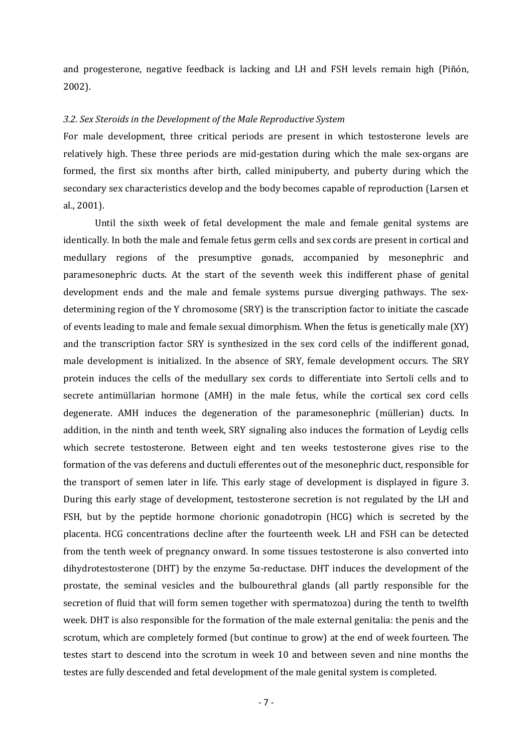and progesterone, negative feedback is lacking and LH and FSH levels remain high (Piñón, 2002).

#### 3.2. Sex Steroids in the Development of the Male Reproductive System

For male development, three critical periods are present in which testosterone levels are relatively high. These three periods are mid-gestation during which the male sex-organs are formed, the first six months after birth, called minipuberty, and puberty during which the secondary sex characteristics develop and the body becomes capable of reproduction (Larsen et al., 2001).

Until the sixth week of fetal development the male and female genital systems are identically. In both the male and female fetus germ cells and sex cords are present in cortical and medullary regions of the presumptive gonads, accompanied by mesonephric and paramesonephric ducts. At the start of the seventh week this indifferent phase of genital development ends and the male and female systems pursue diverging pathways. The sexdetermining region of the Y chromosome (SRY) is the transcription factor to initiate the cascade of events leading to male and female sexual dimorphism. When the fetus is genetically male (XY) and the transcription factor SRY is synthesized in the sex cord cells of the indifferent gonad, male development is initialized. In the absence of SRY, female development occurs. The SRY protein induces the cells of the medullary sex cords to differentiate into Sertoli cells and to secrete antimüllarian hormone (AMH) in the male fetus, while the cortical sex cord cells degenerate. AMH induces the degeneration of the paramesonephric (müllerian) ducts. In addition, in the ninth and tenth week, SRY signaling also induces the formation of Leydig cells which secrete testosterone. Between eight and ten weeks testosterone gives rise to the formation of the vas deferens and ductuli efferentes out of the mesonephric duct, responsible for the transport of semen later in life. This early stage of development is displayed in figure 3. During this early stage of development, testosterone secretion is not regulated by the LH and FSH, but by the peptide hormone chorionic gonadotropin (HCG) which is secreted by the placenta. HCG concentrations decline after the fourteenth week. LH and FSH can be detected from the tenth week of pregnancy onward. In some tissues testosterone is also converted into dihydrotestosterone (DHT) by the enzyme  $5\alpha$ -reductase. DHT induces the development of the prostate, the seminal vesicles and the bulbourethral glands (all partly responsible for the secretion of fluid that will form semen together with spermatozoa) during the tenth to twelfth week. DHT is also responsible for the formation of the male external genitalia: the penis and the scrotum, which are completely formed (but continue to grow) at the end of week fourteen. The testes start to descend into the scrotum in week 10 and between seven and nine months the testes are fully descended and fetal development of the male genital system is completed.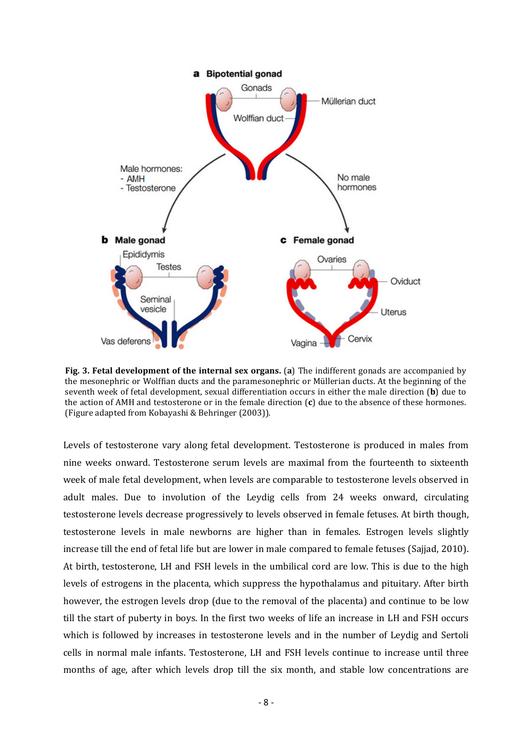

Fig. 3. Fetal development of the internal sex organs. (a) The indifferent gonads are accompanied by the mesonephric or Wolffian ducts and the paramesonephric or Müllerian ducts. At the beginning of the seventh week of fetal development, sexual differentiation occurs in either the male direction (b) due to the action of AMH and testosterone or in the female direction  $(c)$  due to the absence of these hormones. (Figure adapted from Kobayashi & Behringer (2003)).

Levels of testosterone vary along fetal development. Testosterone is produced in males from nine weeks onward. Testosterone serum levels are maximal from the fourteenth to sixteenth week of male fetal development, when levels are comparable to testosterone levels observed in adult males. Due to involution of the Leydig cells from 24 weeks onward, circulating testosterone levels decrease progressively to levels observed in female fetuses. At birth though, testosterone levels in male newborns are higher than in females. Estrogen levels slightly increase till the end of fetal life but are lower in male compared to female fetuses (Sajjad, 2010). At birth, testosterone, LH and FSH levels in the umbilical cord are low. This is due to the high levels of estrogens in the placenta, which suppress the hypothalamus and pituitary. After birth however, the estrogen levels drop (due to the removal of the placenta) and continue to be low till the start of puberty in boys. In the first two weeks of life an increase in LH and FSH occurs which is followed by increases in testosterone levels and in the number of Leydig and Sertoli cells in normal male infants. Testosterone, LH and FSH levels continue to increase until three months of age, after which levels drop till the six month, and stable low concentrations are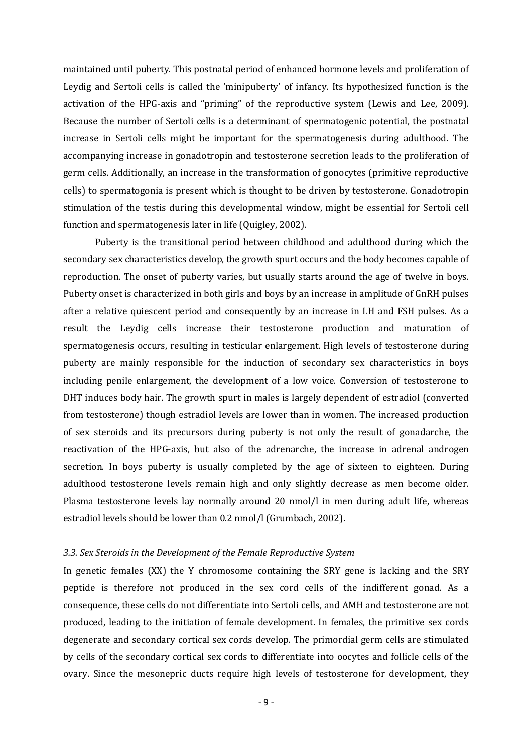maintained until puberty. This postnatal period of enhanced hormone levels and proliferation of Leydig and Sertoli cells is called the 'minipuberty' of infancy. Its hypothesized function is the activation of the HPG-axis and "priming" of the reproductive system (Lewis and Lee, 2009). Because the number of Sertoli cells is a determinant of spermatogenic potential, the postnatal increase in Sertoli cells might be important for the spermatogenesis during adulthood. The accompanying increase in gonadotropin and testosterone secretion leads to the proliferation of germ cells. Additionally, an increase in the transformation of gonocytes (primitive reproductive cells) to spermatogonia is present which is thought to be driven by testosterone. Gonadotropin stimulation of the testis during this developmental window, might be essential for Sertoli cell function and spermatogenesis later in life (Quigley, 2002).

Puberty is the transitional period between childhood and adulthood during which the secondary sex characteristics develop, the growth spurt occurs and the body becomes capable of reproduction. The onset of puberty varies, but usually starts around the age of twelve in boys. Puberty onset is characterized in both girls and boys by an increase in amplitude of GnRH pulses after a relative quiescent period and consequently by an increase in LH and FSH pulses. As a result the Leydig cells increase their testosterone production and maturation of spermatogenesis occurs, resulting in testicular enlargement. High levels of testosterone during puberty are mainly responsible for the induction of secondary sex characteristics in boys including penile enlargement, the development of a low voice. Conversion of testosterone to DHT induces body hair. The growth spurt in males is largely dependent of estradiol (converted from testosterone) though estradiol levels are lower than in women. The increased production of sex steroids and its precursors during puberty is not only the result of gonadarche, the reactivation of the HPG-axis, but also of the adrenarche, the increase in adrenal androgen secretion. In boys puberty is usually completed by the age of sixteen to eighteen. During adulthood testosterone levels remain high and only slightly decrease as men become older. Plasma testosterone levels lay normally around 20 nmol/l in men during adult life, whereas estradiol levels should be lower than 0.2 nmol/l (Grumbach, 2002).

#### 3.3. Sex Steroids in the Development of the Female Reproductive System

In genetic females (XX) the Y chromosome containing the SRY gene is lacking and the SRY peptide is therefore not produced in the sex cord cells of the indifferent gonad. As a consequence, these cells do not differentiate into Sertoli cells, and AMH and testosterone are not produced, leading to the initiation of female development. In females, the primitive sex cords degenerate and secondary cortical sex cords develop. The primordial germ cells are stimulated by cells of the secondary cortical sex cords to differentiate into oocytes and follicle cells of the ovary. Since the mesonepric ducts require high levels of testosterone for development, they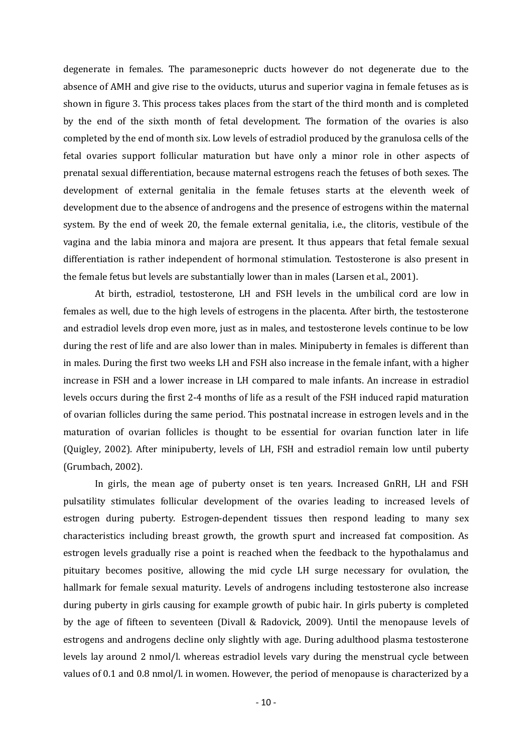degenerate in females. The paramesonepric ducts however do not degenerate due to the absence of AMH and give rise to the oviducts, uturus and superior vagina in female fetuses as is shown in figure 3. This process takes places from the start of the third month and is completed by the end of the sixth month of fetal development. The formation of the ovaries is also completed by the end of month six. Low levels of estradiol produced by the granulosa cells of the fetal ovaries support follicular maturation but have only a minor role in other aspects of prenatal sexual differentiation, because maternal estrogens reach the fetuses of both sexes. The development of external genitalia in the female fetuses starts at the eleventh week of development due to the absence of androgens and the presence of estrogens within the maternal system. By the end of week 20, the female external genitalia, i.e., the clitoris, vestibule of the vagina and the labia minora and majora are present. It thus appears that fetal female sexual differentiation is rather independent of hormonal stimulation. Testosterone is also present in the female fetus but levels are substantially lower than in males (Larsen et al., 2001).

At birth, estradiol, testosterone, LH and FSH levels in the umbilical cord are low in females as well, due to the high levels of estrogens in the placenta. After birth, the testosterone and estradiol levels drop even more, just as in males, and testosterone levels continue to be low during the rest of life and are also lower than in males. Minipuberty in females is different than in males. During the first two weeks LH and FSH also increase in the female infant, with a higher increase in FSH and a lower increase in LH compared to male infants. An increase in estradiol levels occurs during the first 2-4 months of life as a result of the FSH induced rapid maturation of ovarian follicles during the same period. This postnatal increase in estrogen levels and in the maturation of ovarian follicles is thought to be essential for ovarian function later in life (Quigley, 2002). After minipuberty, levels of LH, FSH and estradiol remain low until puberty (Grumbach, 2002).

 In girls, the mean age of puberty onset is ten years. Increased GnRH, LH and FSH pulsatility stimulates follicular development of the ovaries leading to increased levels of estrogen during puberty. Estrogen-dependent tissues then respond leading to many sex characteristics including breast growth, the growth spurt and increased fat composition. As estrogen levels gradually rise a point is reached when the feedback to the hypothalamus and pituitary becomes positive, allowing the mid cycle LH surge necessary for ovulation, the hallmark for female sexual maturity. Levels of androgens including testosterone also increase during puberty in girls causing for example growth of pubic hair. In girls puberty is completed by the age of fifteen to seventeen (Divall & Radovick, 2009). Until the menopause levels of estrogens and androgens decline only slightly with age. During adulthood plasma testosterone levels lay around 2 nmol/l. whereas estradiol levels vary during the menstrual cycle between values of 0.1 and 0.8 nmol/l. in women. However, the period of menopause is characterized by a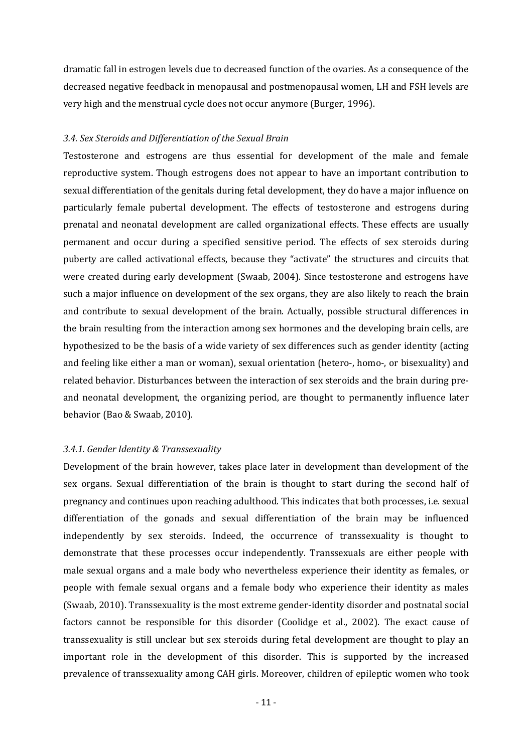dramatic fall in estrogen levels due to decreased function of the ovaries. As a consequence of the decreased negative feedback in menopausal and postmenopausal women, LH and FSH levels are very high and the menstrual cycle does not occur anymore (Burger, 1996).

# 3.4. Sex Steroids and Differentiation of the Sexual Brain

Testosterone and estrogens are thus essential for development of the male and female reproductive system. Though estrogens does not appear to have an important contribution to sexual differentiation of the genitals during fetal development, they do have a major influence on particularly female pubertal development. The effects of testosterone and estrogens during prenatal and neonatal development are called organizational effects. These effects are usually permanent and occur during a specified sensitive period. The effects of sex steroids during puberty are called activational effects, because they "activate" the structures and circuits that were created during early development (Swaab, 2004). Since testosterone and estrogens have such a major influence on development of the sex organs, they are also likely to reach the brain and contribute to sexual development of the brain. Actually, possible structural differences in the brain resulting from the interaction among sex hormones and the developing brain cells, are hypothesized to be the basis of a wide variety of sex differences such as gender identity (acting and feeling like either a man or woman), sexual orientation (hetero-, homo-, or bisexuality) and related behavior. Disturbances between the interaction of sex steroids and the brain during preand neonatal development, the organizing period, are thought to permanently influence later behavior (Bao & Swaab, 2010).

# 3.4.1. Gender Identity & Transsexuality

Development of the brain however, takes place later in development than development of the sex organs. Sexual differentiation of the brain is thought to start during the second half of pregnancy and continues upon reaching adulthood. This indicates that both processes, i.e. sexual differentiation of the gonads and sexual differentiation of the brain may be influenced independently by sex steroids. Indeed, the occurrence of transsexuality is thought to demonstrate that these processes occur independently. Transsexuals are either people with male sexual organs and a male body who nevertheless experience their identity as females, or people with female sexual organs and a female body who experience their identity as males (Swaab, 2010). Transsexuality is the most extreme gender-identity disorder and postnatal social factors cannot be responsible for this disorder (Coolidge et al., 2002). The exact cause of transsexuality is still unclear but sex steroids during fetal development are thought to play an important role in the development of this disorder. This is supported by the increased prevalence of transsexuality among CAH girls. Moreover, children of epileptic women who took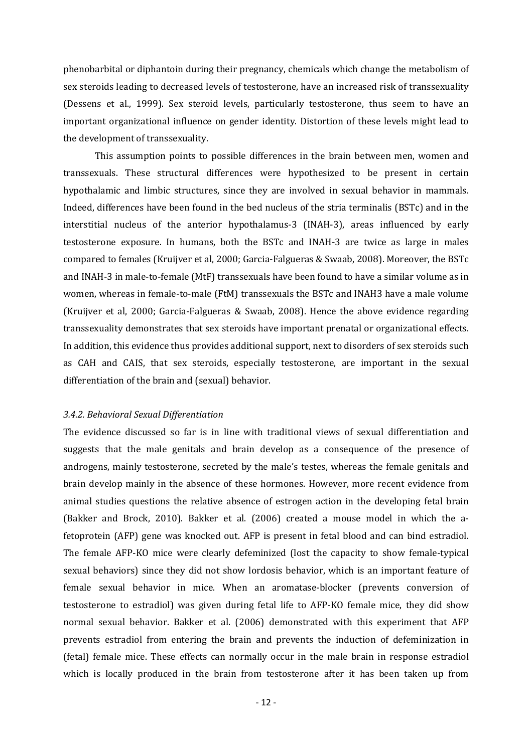phenobarbital or diphantoin during their pregnancy, chemicals which change the metabolism of sex steroids leading to decreased levels of testosterone, have an increased risk of transsexuality (Dessens et al., 1999). Sex steroid levels, particularly testosterone, thus seem to have an important organizational influence on gender identity. Distortion of these levels might lead to the development of transsexuality.

This assumption points to possible differences in the brain between men, women and transsexuals. These structural differences were hypothesized to be present in certain hypothalamic and limbic structures, since they are involved in sexual behavior in mammals. Indeed, differences have been found in the bed nucleus of the stria terminalis (BSTc) and in the interstitial nucleus of the anterior hypothalamus-3 (INAH-3), areas influenced by early testosterone exposure. In humans, both the BSTc and INAH-3 are twice as large in males compared to females (Kruijver et al, 2000; Garcia-Falgueras & Swaab, 2008). Moreover, the BSTc and INAH-3 in male-to-female (MtF) transsexuals have been found to have a similar volume as in women, whereas in female-to-male (FtM) transsexuals the BSTc and INAH3 have a male volume (Kruijver et al, 2000; Garcia-Falgueras & Swaab, 2008). Hence the above evidence regarding transsexuality demonstrates that sex steroids have important prenatal or organizational effects. In addition, this evidence thus provides additional support, next to disorders of sex steroids such as CAH and CAIS, that sex steroids, especially testosterone, are important in the sexual differentiation of the brain and (sexual) behavior.

## 3.4.2. Behavioral Sexual Differentiation

The evidence discussed so far is in line with traditional views of sexual differentiation and suggests that the male genitals and brain develop as a consequence of the presence of androgens, mainly testosterone, secreted by the male's testes, whereas the female genitals and brain develop mainly in the absence of these hormones. However, more recent evidence from animal studies questions the relative absence of estrogen action in the developing fetal brain (Bakker and Brock, 2010). Bakker et al. (2006) created a mouse model in which the afetoprotein (AFP) gene was knocked out. AFP is present in fetal blood and can bind estradiol. The female AFP-KO mice were clearly defeminized (lost the capacity to show female-typical sexual behaviors) since they did not show lordosis behavior, which is an important feature of female sexual behavior in mice. When an aromatase-blocker (prevents conversion of testosterone to estradiol) was given during fetal life to AFP-KO female mice, they did show normal sexual behavior. Bakker et al. (2006) demonstrated with this experiment that AFP prevents estradiol from entering the brain and prevents the induction of defeminization in (fetal) female mice. These effects can normally occur in the male brain in response estradiol which is locally produced in the brain from testosterone after it has been taken up from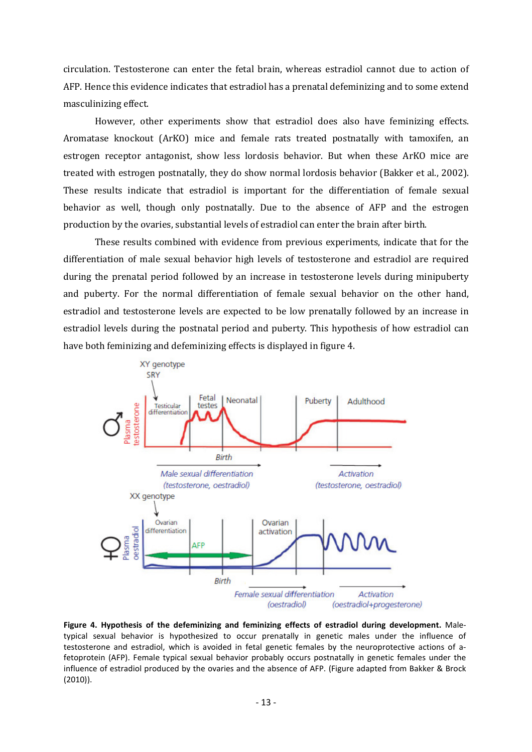circulation. Testosterone can enter the fetal brain, whereas estradiol cannot due to action of AFP. Hence this evidence indicates that estradiol has a prenatal defeminizing and to some extend masculinizing effect.

However, other experiments show that estradiol does also have feminizing effects. Aromatase knockout (ArKO) mice and female rats treated postnatally with tamoxifen, an estrogen receptor antagonist, show less lordosis behavior. But when these ArKO mice are treated with estrogen postnatally, they do show normal lordosis behavior (Bakker et al., 2002). These results indicate that estradiol is important for the differentiation of female sexual behavior as well, though only postnatally. Due to the absence of AFP and the estrogen production by the ovaries, substantial levels of estradiol can enter the brain after birth.

These results combined with evidence from previous experiments, indicate that for the differentiation of male sexual behavior high levels of testosterone and estradiol are required during the prenatal period followed by an increase in testosterone levels during minipuberty and puberty. For the normal differentiation of female sexual behavior on the other hand, estradiol and testosterone levels are expected to be low prenatally followed by an increase in estradiol levels during the postnatal period and puberty. This hypothesis of how estradiol can have both feminizing and defeminizing effects is displayed in figure 4.



Figure 4. Hypothesis of the defeminizing and feminizing effects of estradiol during development. Maletypical sexual behavior is hypothesized to occur prenatally in genetic males under the influence of testosterone and estradiol, which is avoided in fetal genetic females by the neuroprotective actions of afetoprotein (AFP). Female typical sexual behavior probably occurs postnatally in genetic females under the influence of estradiol produced by the ovaries and the absence of AFP. (Figure adapted from Bakker & Brock (2010)).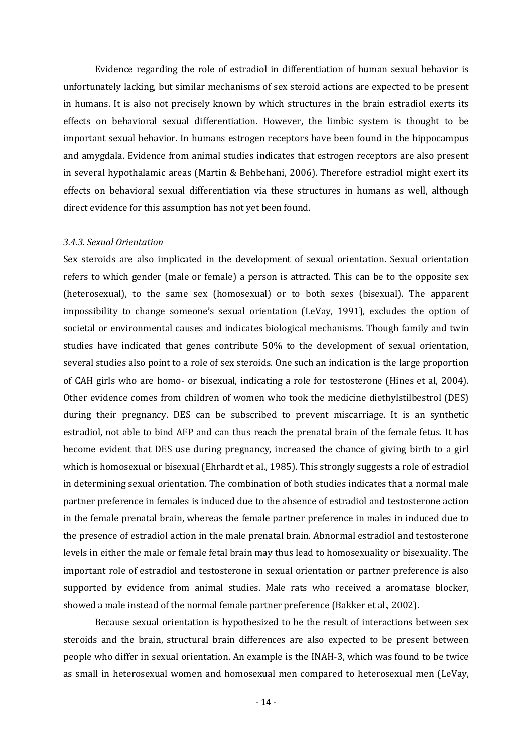Evidence regarding the role of estradiol in differentiation of human sexual behavior is unfortunately lacking, but similar mechanisms of sex steroid actions are expected to be present in humans. It is also not precisely known by which structures in the brain estradiol exerts its effects on behavioral sexual differentiation. However, the limbic system is thought to be important sexual behavior. In humans estrogen receptors have been found in the hippocampus and amygdala. Evidence from animal studies indicates that estrogen receptors are also present in several hypothalamic areas (Martin & Behbehani, 2006). Therefore estradiol might exert its effects on behavioral sexual differentiation via these structures in humans as well, although direct evidence for this assumption has not yet been found.

#### 3.4.3. Sexual Orientation

Sex steroids are also implicated in the development of sexual orientation. Sexual orientation refers to which gender (male or female) a person is attracted. This can be to the opposite sex (heterosexual), to the same sex (homosexual) or to both sexes (bisexual). The apparent impossibility to change someone's sexual orientation (LeVay, 1991), excludes the option of societal or environmental causes and indicates biological mechanisms. Though family and twin studies have indicated that genes contribute 50% to the development of sexual orientation, several studies also point to a role of sex steroids. One such an indication is the large proportion of CAH girls who are homo- or bisexual, indicating a role for testosterone (Hines et al, 2004). Other evidence comes from children of women who took the medicine diethylstilbestrol (DES) during their pregnancy. DES can be subscribed to prevent miscarriage. It is an synthetic estradiol, not able to bind AFP and can thus reach the prenatal brain of the female fetus. It has become evident that DES use during pregnancy, increased the chance of giving birth to a girl which is homosexual or bisexual (Ehrhardt et al., 1985). This strongly suggests a role of estradiol in determining sexual orientation. The combination of both studies indicates that a normal male partner preference in females is induced due to the absence of estradiol and testosterone action in the female prenatal brain, whereas the female partner preference in males in induced due to the presence of estradiol action in the male prenatal brain. Abnormal estradiol and testosterone levels in either the male or female fetal brain may thus lead to homosexuality or bisexuality. The important role of estradiol and testosterone in sexual orientation or partner preference is also supported by evidence from animal studies. Male rats who received a aromatase blocker, showed a male instead of the normal female partner preference (Bakker et al., 2002).

 Because sexual orientation is hypothesized to be the result of interactions between sex steroids and the brain, structural brain differences are also expected to be present between people who differ in sexual orientation. An example is the INAH-3, which was found to be twice as small in heterosexual women and homosexual men compared to heterosexual men (LeVay,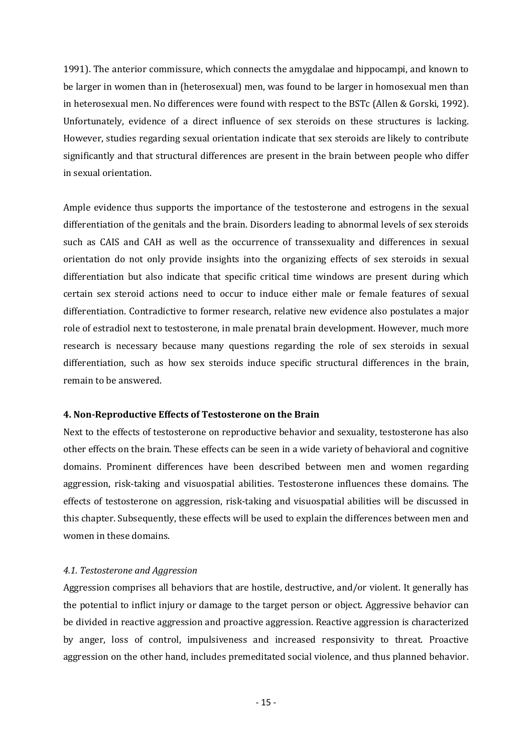1991). The anterior commissure, which connects the amygdalae and hippocampi, and known to be larger in women than in (heterosexual) men, was found to be larger in homosexual men than in heterosexual men. No differences were found with respect to the BSTc (Allen & Gorski, 1992). Unfortunately, evidence of a direct influence of sex steroids on these structures is lacking. However, studies regarding sexual orientation indicate that sex steroids are likely to contribute significantly and that structural differences are present in the brain between people who differ in sexual orientation.

Ample evidence thus supports the importance of the testosterone and estrogens in the sexual differentiation of the genitals and the brain. Disorders leading to abnormal levels of sex steroids such as CAIS and CAH as well as the occurrence of transsexuality and differences in sexual orientation do not only provide insights into the organizing effects of sex steroids in sexual differentiation but also indicate that specific critical time windows are present during which certain sex steroid actions need to occur to induce either male or female features of sexual differentiation. Contradictive to former research, relative new evidence also postulates a major role of estradiol next to testosterone, in male prenatal brain development. However, much more research is necessary because many questions regarding the role of sex steroids in sexual differentiation, such as how sex steroids induce specific structural differences in the brain, remain to be answered.

# 4. Non-Reproductive Effects of Testosterone on the Brain

Next to the effects of testosterone on reproductive behavior and sexuality, testosterone has also other effects on the brain. These effects can be seen in a wide variety of behavioral and cognitive domains. Prominent differences have been described between men and women regarding aggression, risk-taking and visuospatial abilities. Testosterone influences these domains. The effects of testosterone on aggression, risk-taking and visuospatial abilities will be discussed in this chapter. Subsequently, these effects will be used to explain the differences between men and women in these domains.

# 4.1. Testosterone and Aggression

Aggression comprises all behaviors that are hostile, destructive, and/or violent. It generally has the potential to inflict injury or damage to the target person or object. Aggressive behavior can be divided in reactive aggression and proactive aggression. Reactive aggression is characterized by anger, loss of control, impulsiveness and increased responsivity to threat. Proactive aggression on the other hand, includes premeditated social violence, and thus planned behavior.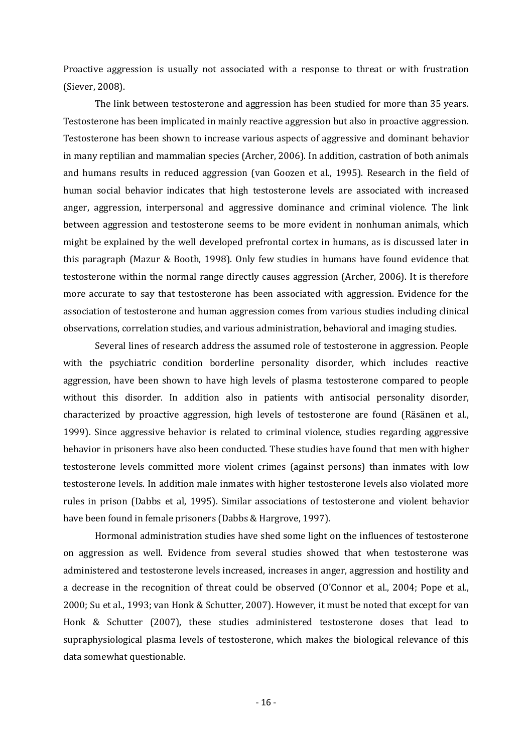Proactive aggression is usually not associated with a response to threat or with frustration (Siever, 2008).

The link between testosterone and aggression has been studied for more than 35 years. Testosterone has been implicated in mainly reactive aggression but also in proactive aggression. Testosterone has been shown to increase various aspects of aggressive and dominant behavior in many reptilian and mammalian species (Archer, 2006). In addition, castration of both animals and humans results in reduced aggression (van Goozen et al., 1995). Research in the field of human social behavior indicates that high testosterone levels are associated with increased anger, aggression, interpersonal and aggressive dominance and criminal violence. The link between aggression and testosterone seems to be more evident in nonhuman animals, which might be explained by the well developed prefrontal cortex in humans, as is discussed later in this paragraph (Mazur & Booth, 1998). Only few studies in humans have found evidence that testosterone within the normal range directly causes aggression (Archer, 2006). It is therefore more accurate to say that testosterone has been associated with aggression. Evidence for the association of testosterone and human aggression comes from various studies including clinical observations, correlation studies, and various administration, behavioral and imaging studies.

Several lines of research address the assumed role of testosterone in aggression. People with the psychiatric condition borderline personality disorder, which includes reactive aggression, have been shown to have high levels of plasma testosterone compared to people without this disorder. In addition also in patients with antisocial personality disorder, characterized by proactive aggression, high levels of testosterone are found (Räsänen et al., 1999). Since aggressive behavior is related to criminal violence, studies regarding aggressive behavior in prisoners have also been conducted. These studies have found that men with higher testosterone levels committed more violent crimes (against persons) than inmates with low testosterone levels. In addition male inmates with higher testosterone levels also violated more rules in prison (Dabbs et al, 1995). Similar associations of testosterone and violent behavior have been found in female prisoners (Dabbs & Hargrove, 1997).

Hormonal administration studies have shed some light on the influences of testosterone on aggression as well. Evidence from several studies showed that when testosterone was administered and testosterone levels increased, increases in anger, aggression and hostility and a decrease in the recognition of threat could be observed (O'Connor et al., 2004; Pope et al., 2000; Su et al., 1993; van Honk & Schutter, 2007). However, it must be noted that except for van Honk & Schutter (2007), these studies administered testosterone doses that lead to supraphysiological plasma levels of testosterone, which makes the biological relevance of this data somewhat questionable.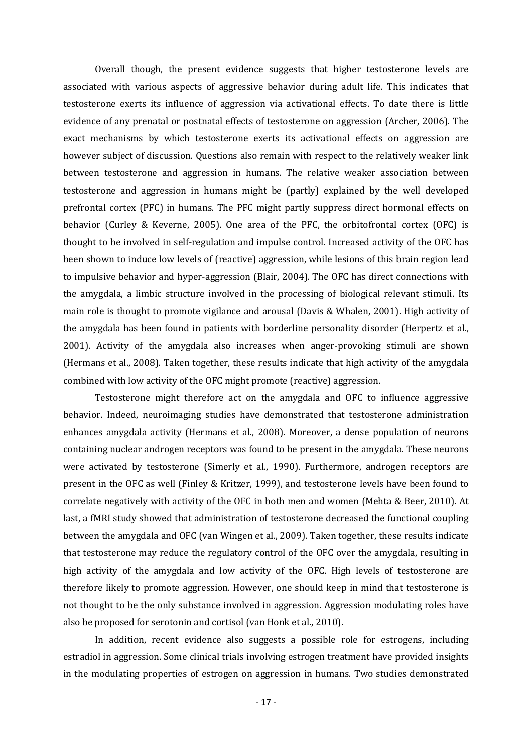Overall though, the present evidence suggests that higher testosterone levels are associated with various aspects of aggressive behavior during adult life. This indicates that testosterone exerts its influence of aggression via activational effects. To date there is little evidence of any prenatal or postnatal effects of testosterone on aggression (Archer, 2006). The exact mechanisms by which testosterone exerts its activational effects on aggression are however subject of discussion. Questions also remain with respect to the relatively weaker link between testosterone and aggression in humans. The relative weaker association between testosterone and aggression in humans might be (partly) explained by the well developed prefrontal cortex (PFC) in humans. The PFC might partly suppress direct hormonal effects on behavior (Curley & Keverne, 2005). One area of the PFC, the orbitofrontal cortex (OFC) is thought to be involved in self-regulation and impulse control. Increased activity of the OFC has been shown to induce low levels of (reactive) aggression, while lesions of this brain region lead to impulsive behavior and hyper-aggression (Blair, 2004). The OFC has direct connections with the amygdala, a limbic structure involved in the processing of biological relevant stimuli. Its main role is thought to promote vigilance and arousal (Davis & Whalen, 2001). High activity of the amygdala has been found in patients with borderline personality disorder (Herpertz et al., 2001). Activity of the amygdala also increases when anger-provoking stimuli are shown (Hermans et al., 2008). Taken together, these results indicate that high activity of the amygdala combined with low activity of the OFC might promote (reactive) aggression.

Testosterone might therefore act on the amygdala and OFC to influence aggressive behavior. Indeed, neuroimaging studies have demonstrated that testosterone administration enhances amygdala activity (Hermans et al., 2008). Moreover, a dense population of neurons containing nuclear androgen receptors was found to be present in the amygdala. These neurons were activated by testosterone (Simerly et al., 1990). Furthermore, androgen receptors are present in the OFC as well (Finley & Kritzer, 1999), and testosterone levels have been found to correlate negatively with activity of the OFC in both men and women (Mehta & Beer, 2010). At last, a fMRI study showed that administration of testosterone decreased the functional coupling between the amygdala and OFC (van Wingen et al., 2009). Taken together, these results indicate that testosterone may reduce the regulatory control of the OFC over the amygdala, resulting in high activity of the amygdala and low activity of the OFC. High levels of testosterone are therefore likely to promote aggression. However, one should keep in mind that testosterone is not thought to be the only substance involved in aggression. Aggression modulating roles have also be proposed for serotonin and cortisol (van Honk et al., 2010).

In addition, recent evidence also suggests a possible role for estrogens, including estradiol in aggression. Some clinical trials involving estrogen treatment have provided insights in the modulating properties of estrogen on aggression in humans. Two studies demonstrated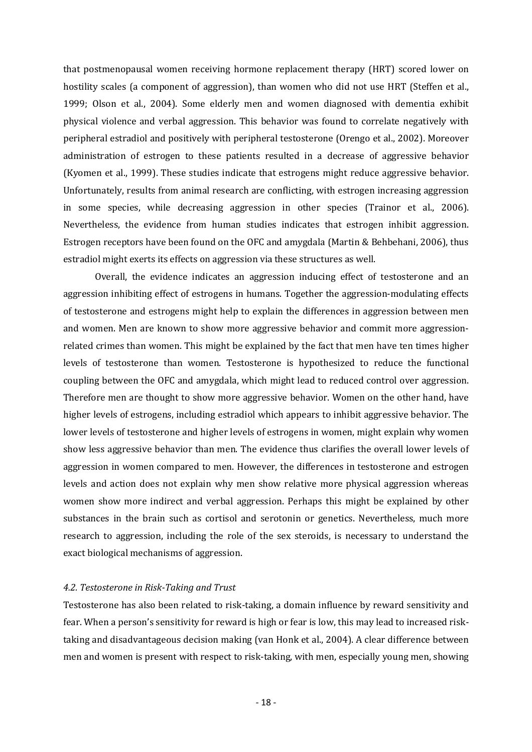that postmenopausal women receiving hormone replacement therapy (HRT) scored lower on hostility scales (a component of aggression), than women who did not use HRT (Steffen et al., 1999; Olson et al., 2004). Some elderly men and women diagnosed with dementia exhibit physical violence and verbal aggression. This behavior was found to correlate negatively with peripheral estradiol and positively with peripheral testosterone (Orengo et al., 2002). Moreover administration of estrogen to these patients resulted in a decrease of aggressive behavior (Kyomen et al., 1999). These studies indicate that estrogens might reduce aggressive behavior. Unfortunately, results from animal research are conflicting, with estrogen increasing aggression in some species, while decreasing aggression in other species (Trainor et al., 2006). Nevertheless, the evidence from human studies indicates that estrogen inhibit aggression. Estrogen receptors have been found on the OFC and amygdala (Martin & Behbehani, 2006), thus estradiol might exerts its effects on aggression via these structures as well.

 Overall, the evidence indicates an aggression inducing effect of testosterone and an aggression inhibiting effect of estrogens in humans. Together the aggression-modulating effects of testosterone and estrogens might help to explain the differences in aggression between men and women. Men are known to show more aggressive behavior and commit more aggressionrelated crimes than women. This might be explained by the fact that men have ten times higher levels of testosterone than women. Testosterone is hypothesized to reduce the functional coupling between the OFC and amygdala, which might lead to reduced control over aggression. Therefore men are thought to show more aggressive behavior. Women on the other hand, have higher levels of estrogens, including estradiol which appears to inhibit aggressive behavior. The lower levels of testosterone and higher levels of estrogens in women, might explain why women show less aggressive behavior than men. The evidence thus clarifies the overall lower levels of aggression in women compared to men. However, the differences in testosterone and estrogen levels and action does not explain why men show relative more physical aggression whereas women show more indirect and verbal aggression. Perhaps this might be explained by other substances in the brain such as cortisol and serotonin or genetics. Nevertheless, much more research to aggression, including the role of the sex steroids, is necessary to understand the exact biological mechanisms of aggression.

# 4.2. Testosterone in Risk-Taking and Trust

Testosterone has also been related to risk-taking, a domain influence by reward sensitivity and fear. When a person's sensitivity for reward is high or fear is low, this may lead to increased risktaking and disadvantageous decision making (van Honk et al., 2004). A clear difference between men and women is present with respect to risk-taking, with men, especially young men, showing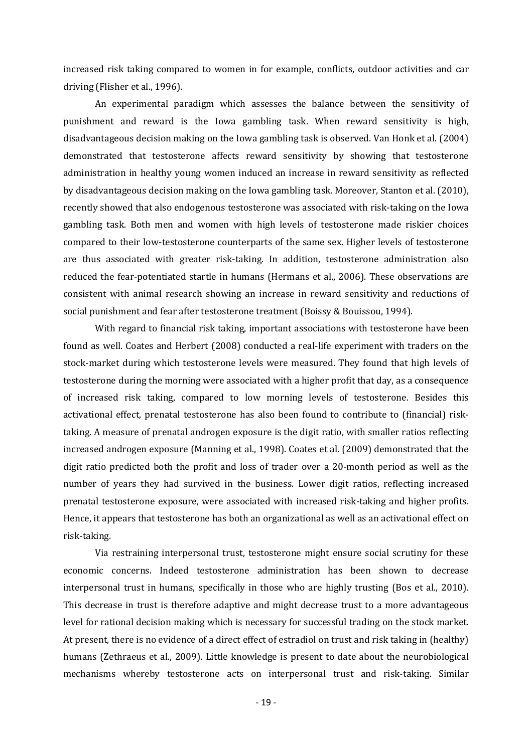increased risk taking compared to women in for example, conflicts, outdoor activities and car driving (Flisher et al., 1996).

An experimental paradigm which assesses the balance between the sensitivity of punishment and reward is the Iowa gambling task. When reward sensitivity is high, disadvantageous decision making on the Iowa gambling task is observed. Van Honk et al. (2004) demonstrated that testosterone affects reward sensitivity by showing that testosterone administration in healthy young women induced an increase in reward sensitivity as reflected by disadvantageous decision making on the Iowa gambling task. Moreover, Stanton et al. (2010), recently showed that also endogenous testosterone was associated with risk-taking on the Iowa gambling task. Both men and women with high levels of testosterone made riskier choices compared to their low-testosterone counterparts of the same sex. Higher levels of testosterone are thus associated with greater risk-taking. In addition, testosterone administration also reduced the fear-potentiated startle in humans (Hermans et al., 2006). These observations are consistent with animal research showing an increase in reward sensitivity and reductions of social punishment and fear after testosterone treatment (Boissy & Bouissou, 1994).

With regard to financial risk taking, important associations with testosterone have been found as well. Coates and Herbert (2008) conducted a real-life experiment with traders on the stock-market during which testosterone levels were measured. They found that high levels of testosterone during the morning were associated with a higher profit that day, as a consequence of increased risk taking, compared to low morning levels of testosterone. Besides this activational effect, prenatal testosterone has also been found to contribute to (financial) risktaking. A measure of prenatal androgen exposure is the digit ratio, with smaller ratios reflecting increased androgen exposure (Manning et al., 1998). Coates et al. (2009) demonstrated that the digit ratio predicted both the profit and loss of trader over a 20-month period as well as the number of years they had survived in the business. Lower digit ratios, reflecting increased prenatal testosterone exposure, were associated with increased risk-taking and higher profits. Hence, it appears that testosterone has both an organizational as well as an activational effect on risk-taking.

Via restraining interpersonal trust, testosterone might ensure social scrutiny for these economic concerns. Indeed testosterone administration has been shown to decrease interpersonal trust in humans, specifically in those who are highly trusting (Bos et al., 2010). This decrease in trust is therefore adaptive and might decrease trust to a more advantageous level for rational decision making which is necessary for successful trading on the stock market. At present, there is no evidence of a direct effect of estradiol on trust and risk taking in (healthy) humans (Zethraeus et al., 2009). Little knowledge is present to date about the neurobiological mechanisms whereby testosterone acts on interpersonal trust and risk-taking. Similar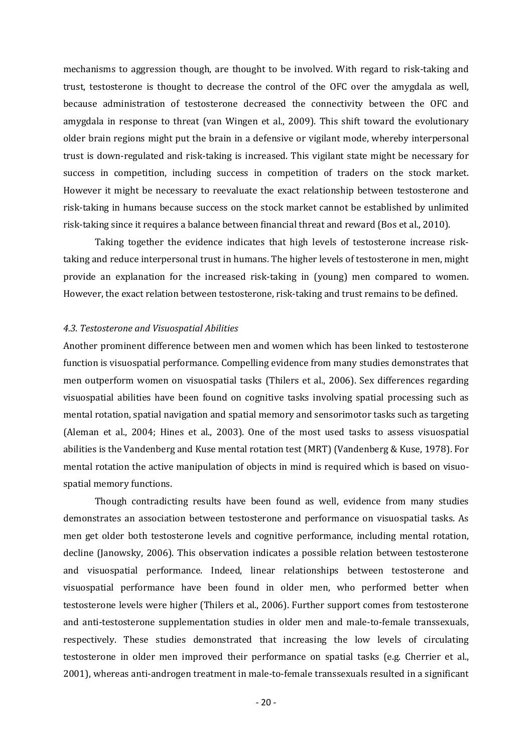mechanisms to aggression though, are thought to be involved. With regard to risk-taking and trust, testosterone is thought to decrease the control of the OFC over the amygdala as well, because administration of testosterone decreased the connectivity between the OFC and amygdala in response to threat (van Wingen et al., 2009). This shift toward the evolutionary older brain regions might put the brain in a defensive or vigilant mode, whereby interpersonal trust is down-regulated and risk-taking is increased. This vigilant state might be necessary for success in competition, including success in competition of traders on the stock market. However it might be necessary to reevaluate the exact relationship between testosterone and risk-taking in humans because success on the stock market cannot be established by unlimited risk-taking since it requires a balance between financial threat and reward (Bos et al., 2010).

 Taking together the evidence indicates that high levels of testosterone increase risktaking and reduce interpersonal trust in humans. The higher levels of testosterone in men, might provide an explanation for the increased risk-taking in (young) men compared to women. However, the exact relation between testosterone, risk-taking and trust remains to be defined.

#### 4.3. Testosterone and Visuospatial Abilities

Another prominent difference between men and women which has been linked to testosterone function is visuospatial performance. Compelling evidence from many studies demonstrates that men outperform women on visuospatial tasks (Thilers et al., 2006). Sex differences regarding visuospatial abilities have been found on cognitive tasks involving spatial processing such as mental rotation, spatial navigation and spatial memory and sensorimotor tasks such as targeting (Aleman et al., 2004; Hines et al., 2003). One of the most used tasks to assess visuospatial abilities is the Vandenberg and Kuse mental rotation test (MRT) (Vandenberg & Kuse, 1978). For mental rotation the active manipulation of objects in mind is required which is based on visuospatial memory functions.

 Though contradicting results have been found as well, evidence from many studies demonstrates an association between testosterone and performance on visuospatial tasks. As men get older both testosterone levels and cognitive performance, including mental rotation, decline (Janowsky, 2006). This observation indicates a possible relation between testosterone and visuospatial performance. Indeed, linear relationships between testosterone and visuospatial performance have been found in older men, who performed better when testosterone levels were higher (Thilers et al., 2006). Further support comes from testosterone and anti-testosterone supplementation studies in older men and male-to-female transsexuals, respectively. These studies demonstrated that increasing the low levels of circulating testosterone in older men improved their performance on spatial tasks (e.g. Cherrier et al., 2001), whereas anti-androgen treatment in male-to-female transsexuals resulted in a significant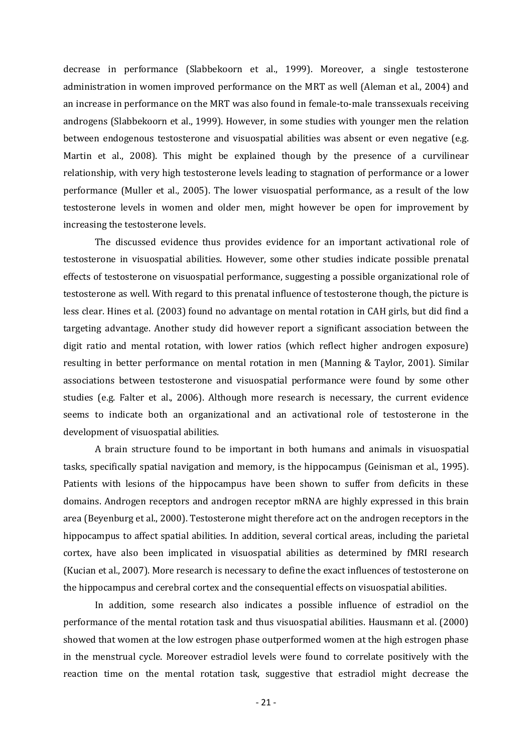decrease in performance (Slabbekoorn et al., 1999). Moreover, a single testosterone administration in women improved performance on the MRT as well (Aleman et al., 2004) and an increase in performance on the MRT was also found in female-to-male transsexuals receiving androgens (Slabbekoorn et al., 1999). However, in some studies with younger men the relation between endogenous testosterone and visuospatial abilities was absent or even negative (e.g. Martin et al., 2008). This might be explained though by the presence of a curvilinear relationship, with very high testosterone levels leading to stagnation of performance or a lower performance (Muller et al., 2005). The lower visuospatial performance, as a result of the low testosterone levels in women and older men, might however be open for improvement by increasing the testosterone levels.

 The discussed evidence thus provides evidence for an important activational role of testosterone in visuospatial abilities. However, some other studies indicate possible prenatal effects of testosterone on visuospatial performance, suggesting a possible organizational role of testosterone as well. With regard to this prenatal influence of testosterone though, the picture is less clear. Hines et al. (2003) found no advantage on mental rotation in CAH girls, but did find a targeting advantage. Another study did however report a significant association between the digit ratio and mental rotation, with lower ratios (which reflect higher androgen exposure) resulting in better performance on mental rotation in men (Manning & Taylor, 2001). Similar associations between testosterone and visuospatial performance were found by some other studies (e.g. Falter et al., 2006). Although more research is necessary, the current evidence seems to indicate both an organizational and an activational role of testosterone in the development of visuospatial abilities.

 A brain structure found to be important in both humans and animals in visuospatial tasks, specifically spatial navigation and memory, is the hippocampus (Geinisman et al., 1995). Patients with lesions of the hippocampus have been shown to suffer from deficits in these domains. Androgen receptors and androgen receptor mRNA are highly expressed in this brain area (Beyenburg et al., 2000). Testosterone might therefore act on the androgen receptors in the hippocampus to affect spatial abilities. In addition, several cortical areas, including the parietal cortex, have also been implicated in visuospatial abilities as determined by fMRI research (Kucian et al., 2007). More research is necessary to define the exact influences of testosterone on the hippocampus and cerebral cortex and the consequential effects on visuospatial abilities.

 In addition, some research also indicates a possible influence of estradiol on the performance of the mental rotation task and thus visuospatial abilities. Hausmann et al. (2000) showed that women at the low estrogen phase outperformed women at the high estrogen phase in the menstrual cycle. Moreover estradiol levels were found to correlate positively with the reaction time on the mental rotation task, suggestive that estradiol might decrease the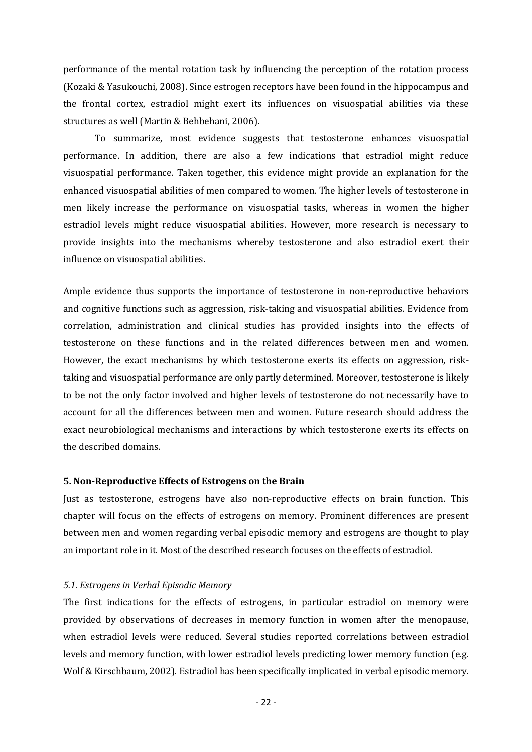performance of the mental rotation task by influencing the perception of the rotation process (Kozaki & Yasukouchi, 2008). Since estrogen receptors have been found in the hippocampus and the frontal cortex, estradiol might exert its influences on visuospatial abilities via these structures as well (Martin & Behbehani, 2006).

 To summarize, most evidence suggests that testosterone enhances visuospatial performance. In addition, there are also a few indications that estradiol might reduce visuospatial performance. Taken together, this evidence might provide an explanation for the enhanced visuospatial abilities of men compared to women. The higher levels of testosterone in men likely increase the performance on visuospatial tasks, whereas in women the higher estradiol levels might reduce visuospatial abilities. However, more research is necessary to provide insights into the mechanisms whereby testosterone and also estradiol exert their influence on visuospatial abilities.

Ample evidence thus supports the importance of testosterone in non-reproductive behaviors and cognitive functions such as aggression, risk-taking and visuospatial abilities. Evidence from correlation, administration and clinical studies has provided insights into the effects of testosterone on these functions and in the related differences between men and women. However, the exact mechanisms by which testosterone exerts its effects on aggression, risktaking and visuospatial performance are only partly determined. Moreover, testosterone is likely to be not the only factor involved and higher levels of testosterone do not necessarily have to account for all the differences between men and women. Future research should address the exact neurobiological mechanisms and interactions by which testosterone exerts its effects on the described domains.

#### 5. Non-Reproductive Effects of Estrogens on the Brain

Just as testosterone, estrogens have also non-reproductive effects on brain function. This chapter will focus on the effects of estrogens on memory. Prominent differences are present between men and women regarding verbal episodic memory and estrogens are thought to play an important role in it. Most of the described research focuses on the effects of estradiol.

# 5.1. Estrogens in Verbal Episodic Memory

The first indications for the effects of estrogens, in particular estradiol on memory were provided by observations of decreases in memory function in women after the menopause, when estradiol levels were reduced. Several studies reported correlations between estradiol levels and memory function, with lower estradiol levels predicting lower memory function (e.g. Wolf & Kirschbaum, 2002). Estradiol has been specifically implicated in verbal episodic memory.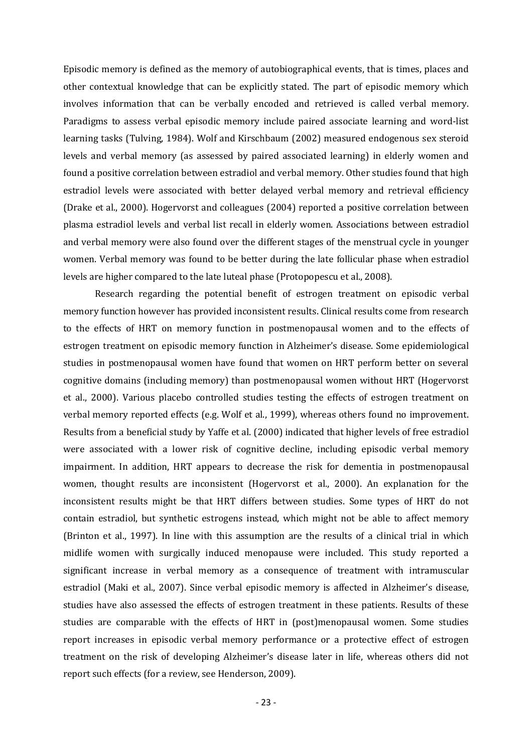Episodic memory is defined as the memory of autobiographical events, that is times, places and other contextual knowledge that can be explicitly stated. The part of episodic memory which involves information that can be verbally encoded and retrieved is called verbal memory. Paradigms to assess verbal episodic memory include paired associate learning and word-list learning tasks (Tulving, 1984). Wolf and Kirschbaum (2002) measured endogenous sex steroid levels and verbal memory (as assessed by paired associated learning) in elderly women and found a positive correlation between estradiol and verbal memory. Other studies found that high estradiol levels were associated with better delayed verbal memory and retrieval efficiency (Drake et al., 2000). Hogervorst and colleagues (2004) reported a positive correlation between plasma estradiol levels and verbal list recall in elderly women. Associations between estradiol and verbal memory were also found over the different stages of the menstrual cycle in younger women. Verbal memory was found to be better during the late follicular phase when estradiol levels are higher compared to the late luteal phase (Protopopescu et al., 2008).

Research regarding the potential benefit of estrogen treatment on episodic verbal memory function however has provided inconsistent results. Clinical results come from research to the effects of HRT on memory function in postmenopausal women and to the effects of estrogen treatment on episodic memory function in Alzheimer's disease. Some epidemiological studies in postmenopausal women have found that women on HRT perform better on several cognitive domains (including memory) than postmenopausal women without HRT (Hogervorst et al., 2000). Various placebo controlled studies testing the effects of estrogen treatment on verbal memory reported effects (e.g. Wolf et al., 1999), whereas others found no improvement. Results from a beneficial study by Yaffe et al. (2000) indicated that higher levels of free estradiol were associated with a lower risk of cognitive decline, including episodic verbal memory impairment. In addition, HRT appears to decrease the risk for dementia in postmenopausal women, thought results are inconsistent (Hogervorst et al., 2000). An explanation for the inconsistent results might be that HRT differs between studies. Some types of HRT do not contain estradiol, but synthetic estrogens instead, which might not be able to affect memory (Brinton et al., 1997). In line with this assumption are the results of a clinical trial in which midlife women with surgically induced menopause were included. This study reported a significant increase in verbal memory as a consequence of treatment with intramuscular estradiol (Maki et al., 2007). Since verbal episodic memory is affected in Alzheimer's disease, studies have also assessed the effects of estrogen treatment in these patients. Results of these studies are comparable with the effects of HRT in (post)menopausal women. Some studies report increases in episodic verbal memory performance or a protective effect of estrogen treatment on the risk of developing Alzheimer's disease later in life, whereas others did not report such effects (for a review, see Henderson, 2009).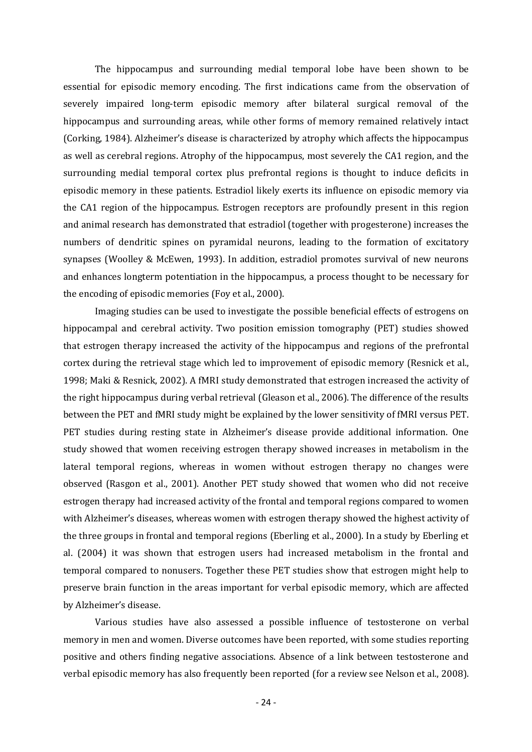The hippocampus and surrounding medial temporal lobe have been shown to be essential for episodic memory encoding. The first indications came from the observation of severely impaired long-term episodic memory after bilateral surgical removal of the hippocampus and surrounding areas, while other forms of memory remained relatively intact (Corking, 1984). Alzheimer's disease is characterized by atrophy which affects the hippocampus as well as cerebral regions. Atrophy of the hippocampus, most severely the CA1 region, and the surrounding medial temporal cortex plus prefrontal regions is thought to induce deficits in episodic memory in these patients. Estradiol likely exerts its influence on episodic memory via the CA1 region of the hippocampus. Estrogen receptors are profoundly present in this region and animal research has demonstrated that estradiol (together with progesterone) increases the numbers of dendritic spines on pyramidal neurons, leading to the formation of excitatory synapses (Woolley & McEwen, 1993). In addition, estradiol promotes survival of new neurons and enhances longterm potentiation in the hippocampus, a process thought to be necessary for the encoding of episodic memories (Foy et al., 2000).

Imaging studies can be used to investigate the possible beneficial effects of estrogens on hippocampal and cerebral activity. Two position emission tomography (PET) studies showed that estrogen therapy increased the activity of the hippocampus and regions of the prefrontal cortex during the retrieval stage which led to improvement of episodic memory (Resnick et al., 1998; Maki & Resnick, 2002). A fMRI study demonstrated that estrogen increased the activity of the right hippocampus during verbal retrieval (Gleason et al., 2006). The difference of the results between the PET and fMRI study might be explained by the lower sensitivity of fMRI versus PET. PET studies during resting state in Alzheimer's disease provide additional information. One study showed that women receiving estrogen therapy showed increases in metabolism in the lateral temporal regions, whereas in women without estrogen therapy no changes were observed (Rasgon et al., 2001). Another PET study showed that women who did not receive estrogen therapy had increased activity of the frontal and temporal regions compared to women with Alzheimer's diseases, whereas women with estrogen therapy showed the highest activity of the three groups in frontal and temporal regions (Eberling et al., 2000). In a study by Eberling et al. (2004) it was shown that estrogen users had increased metabolism in the frontal and temporal compared to nonusers. Together these PET studies show that estrogen might help to preserve brain function in the areas important for verbal episodic memory, which are affected by Alzheimer's disease.

Various studies have also assessed a possible influence of testosterone on verbal memory in men and women. Diverse outcomes have been reported, with some studies reporting positive and others finding negative associations. Absence of a link between testosterone and verbal episodic memory has also frequently been reported (for a review see Nelson et al., 2008).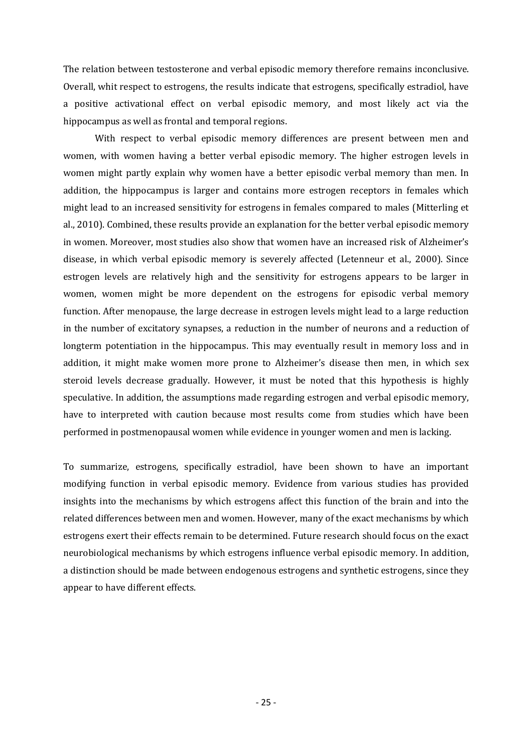The relation between testosterone and verbal episodic memory therefore remains inconclusive. Overall, whit respect to estrogens, the results indicate that estrogens, specifically estradiol, have a positive activational effect on verbal episodic memory, and most likely act via the hippocampus as well as frontal and temporal regions.

With respect to verbal episodic memory differences are present between men and women, with women having a better verbal episodic memory. The higher estrogen levels in women might partly explain why women have a better episodic verbal memory than men. In addition, the hippocampus is larger and contains more estrogen receptors in females which might lead to an increased sensitivity for estrogens in females compared to males (Mitterling et al., 2010). Combined, these results provide an explanation for the better verbal episodic memory in women. Moreover, most studies also show that women have an increased risk of Alzheimer's disease, in which verbal episodic memory is severely affected (Letenneur et al., 2000). Since estrogen levels are relatively high and the sensitivity for estrogens appears to be larger in women, women might be more dependent on the estrogens for episodic verbal memory function. After menopause, the large decrease in estrogen levels might lead to a large reduction in the number of excitatory synapses, a reduction in the number of neurons and a reduction of longterm potentiation in the hippocampus. This may eventually result in memory loss and in addition, it might make women more prone to Alzheimer's disease then men, in which sex steroid levels decrease gradually. However, it must be noted that this hypothesis is highly speculative. In addition, the assumptions made regarding estrogen and verbal episodic memory, have to interpreted with caution because most results come from studies which have been performed in postmenopausal women while evidence in younger women and men is lacking.

To summarize, estrogens, specifically estradiol, have been shown to have an important modifying function in verbal episodic memory. Evidence from various studies has provided insights into the mechanisms by which estrogens affect this function of the brain and into the related differences between men and women. However, many of the exact mechanisms by which estrogens exert their effects remain to be determined. Future research should focus on the exact neurobiological mechanisms by which estrogens influence verbal episodic memory. In addition, a distinction should be made between endogenous estrogens and synthetic estrogens, since they appear to have different effects.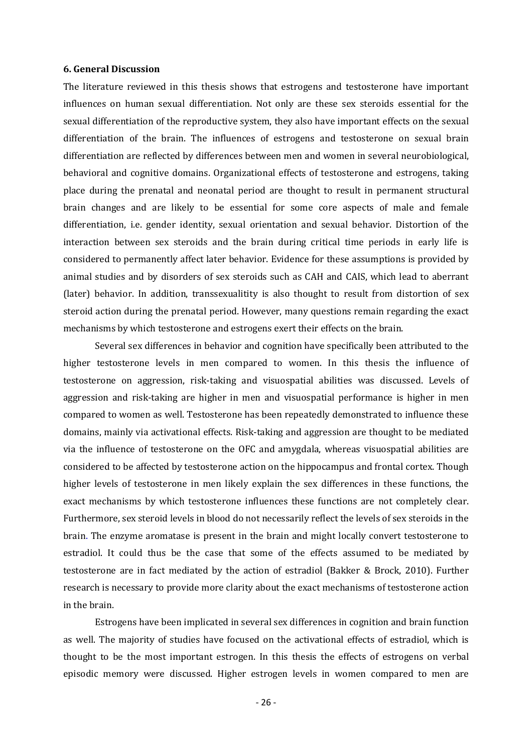# 6. General Discussion

The literature reviewed in this thesis shows that estrogens and testosterone have important influences on human sexual differentiation. Not only are these sex steroids essential for the sexual differentiation of the reproductive system, they also have important effects on the sexual differentiation of the brain. The influences of estrogens and testosterone on sexual brain differentiation are reflected by differences between men and women in several neurobiological, behavioral and cognitive domains. Organizational effects of testosterone and estrogens, taking place during the prenatal and neonatal period are thought to result in permanent structural brain changes and are likely to be essential for some core aspects of male and female differentiation, i.e. gender identity, sexual orientation and sexual behavior. Distortion of the interaction between sex steroids and the brain during critical time periods in early life is considered to permanently affect later behavior. Evidence for these assumptions is provided by animal studies and by disorders of sex steroids such as CAH and CAIS, which lead to aberrant (later) behavior. In addition, transsexualitity is also thought to result from distortion of sex steroid action during the prenatal period. However, many questions remain regarding the exact mechanisms by which testosterone and estrogens exert their effects on the brain.

 Several sex differences in behavior and cognition have specifically been attributed to the higher testosterone levels in men compared to women. In this thesis the influence of testosterone on aggression, risk-taking and visuospatial abilities was discussed. Levels of aggression and risk-taking are higher in men and visuospatial performance is higher in men compared to women as well. Testosterone has been repeatedly demonstrated to influence these domains, mainly via activational effects. Risk-taking and aggression are thought to be mediated via the influence of testosterone on the OFC and amygdala, whereas visuospatial abilities are considered to be affected by testosterone action on the hippocampus and frontal cortex. Though higher levels of testosterone in men likely explain the sex differences in these functions, the exact mechanisms by which testosterone influences these functions are not completely clear. Furthermore, sex steroid levels in blood do not necessarily reflect the levels of sex steroids in the brain. The enzyme aromatase is present in the brain and might locally convert testosterone to estradiol. It could thus be the case that some of the effects assumed to be mediated by testosterone are in fact mediated by the action of estradiol (Bakker & Brock, 2010). Further research is necessary to provide more clarity about the exact mechanisms of testosterone action in the brain.

 Estrogens have been implicated in several sex differences in cognition and brain function as well. The majority of studies have focused on the activational effects of estradiol, which is thought to be the most important estrogen. In this thesis the effects of estrogens on verbal episodic memory were discussed. Higher estrogen levels in women compared to men are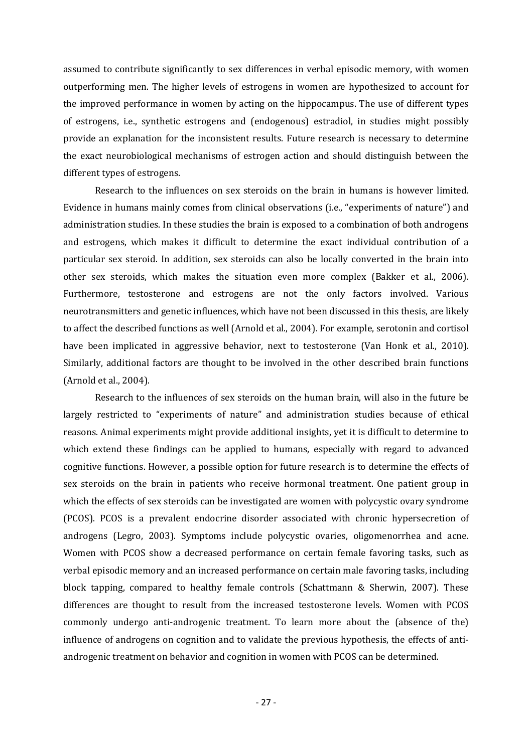assumed to contribute significantly to sex differences in verbal episodic memory, with women outperforming men. The higher levels of estrogens in women are hypothesized to account for the improved performance in women by acting on the hippocampus. The use of different types of estrogens, i.e., synthetic estrogens and (endogenous) estradiol, in studies might possibly provide an explanation for the inconsistent results. Future research is necessary to determine the exact neurobiological mechanisms of estrogen action and should distinguish between the different types of estrogens.

 Research to the influences on sex steroids on the brain in humans is however limited. Evidence in humans mainly comes from clinical observations (i.e., "experiments of nature") and administration studies. In these studies the brain is exposed to a combination of both androgens and estrogens, which makes it difficult to determine the exact individual contribution of a particular sex steroid. In addition, sex steroids can also be locally converted in the brain into other sex steroids, which makes the situation even more complex (Bakker et al., 2006). Furthermore, testosterone and estrogens are not the only factors involved. Various neurotransmitters and genetic influences, which have not been discussed in this thesis, are likely to affect the described functions as well (Arnold et al., 2004). For example, serotonin and cortisol have been implicated in aggressive behavior, next to testosterone (Van Honk et al., 2010). Similarly, additional factors are thought to be involved in the other described brain functions (Arnold et al., 2004).

 Research to the influences of sex steroids on the human brain, will also in the future be largely restricted to "experiments of nature" and administration studies because of ethical reasons. Animal experiments might provide additional insights, yet it is difficult to determine to which extend these findings can be applied to humans, especially with regard to advanced cognitive functions. However, a possible option for future research is to determine the effects of sex steroids on the brain in patients who receive hormonal treatment. One patient group in which the effects of sex steroids can be investigated are women with polycystic ovary syndrome (PCOS). PCOS is a prevalent endocrine disorder associated with chronic hypersecretion of androgens (Legro, 2003). Symptoms include polycystic ovaries, oligomenorrhea and acne. Women with PCOS show a decreased performance on certain female favoring tasks, such as verbal episodic memory and an increased performance on certain male favoring tasks, including block tapping, compared to healthy female controls (Schattmann & Sherwin, 2007). These differences are thought to result from the increased testosterone levels. Women with PCOS commonly undergo anti-androgenic treatment. To learn more about the (absence of the) influence of androgens on cognition and to validate the previous hypothesis, the effects of antiandrogenic treatment on behavior and cognition in women with PCOS can be determined.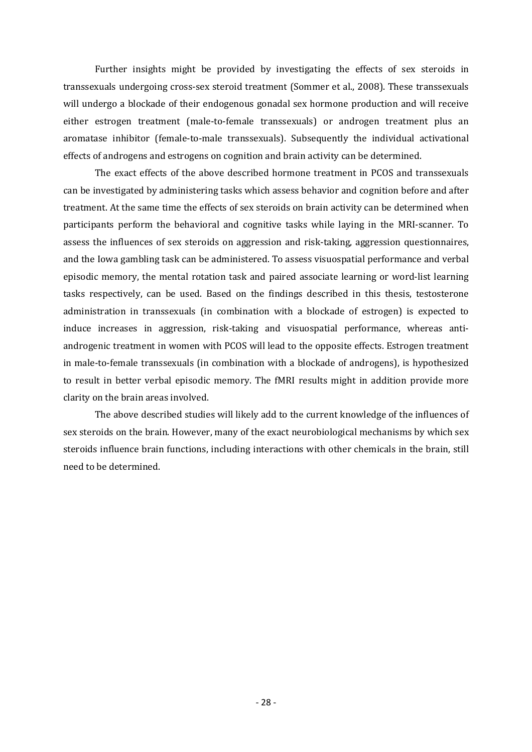Further insights might be provided by investigating the effects of sex steroids in transsexuals undergoing cross-sex steroid treatment (Sommer et al., 2008). These transsexuals will undergo a blockade of their endogenous gonadal sex hormone production and will receive either estrogen treatment (male-to-female transsexuals) or androgen treatment plus an aromatase inhibitor (female-to-male transsexuals). Subsequently the individual activational effects of androgens and estrogens on cognition and brain activity can be determined.

 The exact effects of the above described hormone treatment in PCOS and transsexuals can be investigated by administering tasks which assess behavior and cognition before and after treatment. At the same time the effects of sex steroids on brain activity can be determined when participants perform the behavioral and cognitive tasks while laying in the MRI-scanner. To assess the influences of sex steroids on aggression and risk-taking, aggression questionnaires, and the Iowa gambling task can be administered. To assess visuospatial performance and verbal episodic memory, the mental rotation task and paired associate learning or word-list learning tasks respectively, can be used. Based on the findings described in this thesis, testosterone administration in transsexuals (in combination with a blockade of estrogen) is expected to induce increases in aggression, risk-taking and visuospatial performance, whereas antiandrogenic treatment in women with PCOS will lead to the opposite effects. Estrogen treatment in male-to-female transsexuals (in combination with a blockade of androgens), is hypothesized to result in better verbal episodic memory. The fMRI results might in addition provide more clarity on the brain areas involved.

The above described studies will likely add to the current knowledge of the influences of sex steroids on the brain. However, many of the exact neurobiological mechanisms by which sex steroids influence brain functions, including interactions with other chemicals in the brain, still need to be determined.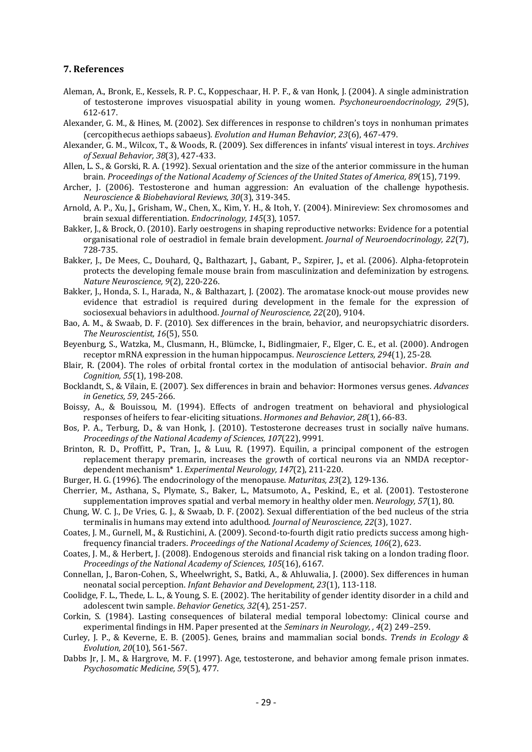#### 7. References

- Aleman, A., Bronk, E., Kessels, R. P. C., Koppeschaar, H. P. F., & van Honk, J. (2004). A single administration of testosterone improves visuospatial ability in young women. Psychoneuroendocrinology, 29(5), 612-617.
- Alexander, G. M., & Hines, M. (2002). Sex differences in response to children's toys in nonhuman primates (cercopithecus aethiops sabaeus). Evolution and Human Behavior, 23(6), 467-479.
- Alexander, G. M., Wilcox, T., & Woods, R. (2009). Sex differences in infants' visual interest in toys. Archives of Sexual Behavior, 38(3), 427-433.
- Allen, L. S., & Gorski, R. A. (1992). Sexual orientation and the size of the anterior commissure in the human brain. Proceedings of the National Academy of Sciences of the United States of America, 89(15), 7199.
- Archer, J. (2006). Testosterone and human aggression: An evaluation of the challenge hypothesis. Neuroscience & Biobehavioral Reviews, 30(3), 319-345.
- Arnold, A. P., Xu, J., Grisham, W., Chen, X., Kim, Y. H., & Itoh, Y. (2004). Minireview: Sex chromosomes and brain sexual differentiation. Endocrinology, 145(3), 1057.
- Bakker, J., & Brock, O. (2010). Early oestrogens in shaping reproductive networks: Evidence for a potential organisational role of oestradiol in female brain development. Journal of Neuroendocrinology, 22(7), 728-735.
- Bakker, J., De Mees, C., Douhard, Q., Balthazart, J., Gabant, P., Szpirer, J., et al. (2006). Alpha-fetoprotein protects the developing female mouse brain from masculinization and defeminization by estrogens. Nature Neuroscience, 9(2), 220-226.
- Bakker, J., Honda, S. I., Harada, N., & Balthazart, J. (2002). The aromatase knock-out mouse provides new evidence that estradiol is required during development in the female for the expression of sociosexual behaviors in adulthood. Journal of Neuroscience, 22(20), 9104.
- Bao, A. M., & Swaab, D. F. (2010). Sex differences in the brain, behavior, and neuropsychiatric disorders. The Neuroscientist, 16(5), 550.
- Beyenburg, S., Watzka, M., Clusmann, H., Blümcke, I., Bidlingmaier, F., Elger, C. E., et al. (2000). Androgen receptor mRNA expression in the human hippocampus. Neuroscience Letters, 294(1), 25-28.
- Blair, R. (2004). The roles of orbital frontal cortex in the modulation of antisocial behavior. Brain and Cognition, 55(1), 198-208.
- Bocklandt, S., & Vilain, E. (2007). Sex differences in brain and behavior: Hormones versus genes. Advances in Genetics, 59, 245-266.
- Boissy, A., & Bouissou, M. (1994). Effects of androgen treatment on behavioral and physiological responses of heifers to fear-eliciting situations. Hormones and Behavior, 28(1), 66-83.
- Bos, P. A., Terburg, D., & van Honk, J. (2010). Testosterone decreases trust in socially naïve humans. Proceedings of the National Academy of Sciences, 107(22), 9991.
- Brinton, R. D., Proffitt, P., Tran, J., & Luu, R. (1997). Equilin, a principal component of the estrogen replacement therapy premarin, increases the growth of cortical neurons via an NMDA receptordependent mechanism\* 1. Experimental Neurology, 147(2), 211-220.
- Burger, H. G. (1996). The endocrinology of the menopause. Maturitas, 23(2), 129-136.
- Cherrier, M., Asthana, S., Plymate, S., Baker, L., Matsumoto, A., Peskind, E., et al. (2001). Testosterone supplementation improves spatial and verbal memory in healthy older men. Neurology, 57(1), 80.
- Chung, W. C. J., De Vries, G. J., & Swaab, D. F. (2002). Sexual differentiation of the bed nucleus of the stria terminalis in humans may extend into adulthood. Journal of Neuroscience, 22(3), 1027.
- Coates, J. M., Gurnell, M., & Rustichini, A. (2009). Second-to-fourth digit ratio predicts success among highfrequency financial traders. Proceedings of the National Academy of Sciences, 106(2), 623.
- Coates, J. M., & Herbert, J. (2008). Endogenous steroids and financial risk taking on a london trading floor. Proceedings of the National Academy of Sciences, 105(16), 6167.
- Connellan, J., Baron-Cohen, S., Wheelwright, S., Batki, A., & Ahluwalia, J. (2000). Sex differences in human neonatal social perception. Infant Behavior and Development, 23(1), 113-118.
- Coolidge, F. L., Thede, L. L., & Young, S. E. (2002). The heritability of gender identity disorder in a child and adolescent twin sample. Behavior Genetics, 32(4), 251-257.
- Corkin, S. (1984). Lasting consequences of bilateral medial temporal lobectomy: Clinical course and experimental findings in HM. Paper presented at the Seminars in Neurology, , 4(2) 249–259.
- Curley, J. P., & Keverne, E. B. (2005). Genes, brains and mammalian social bonds. Trends in Ecology & Evolution, 20(10), 561-567.
- Dabbs Jr, J. M., & Hargrove, M. F. (1997). Age, testosterone, and behavior among female prison inmates. Psychosomatic Medicine, 59(5), 477.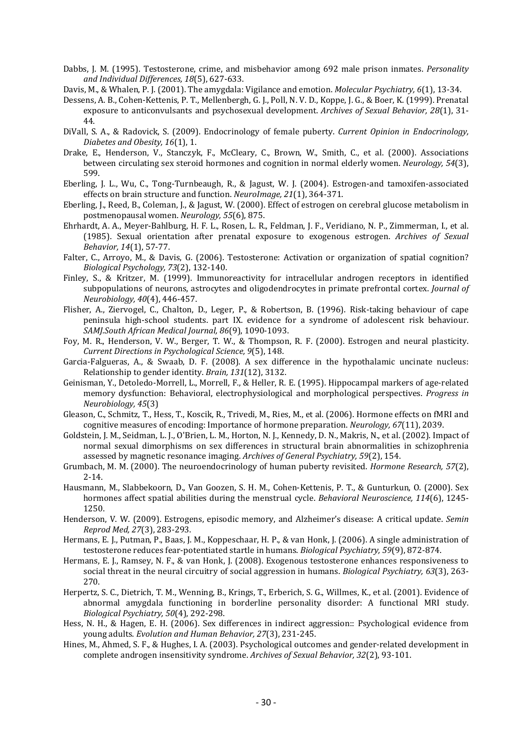- Dabbs, J. M. (1995). Testosterone, crime, and misbehavior among 692 male prison inmates. Personality and Individual Differences, 18(5), 627-633.
- Davis, M., & Whalen, P. J. (2001). The amygdala: Vigilance and emotion. Molecular Psychiatry, 6(1), 13-34.
- Dessens, A. B., Cohen-Kettenis, P. T., Mellenbergh, G. J., Poll, N. V. D., Koppe, J. G., & Boer, K. (1999). Prenatal exposure to anticonvulsants and psychosexual development. Archives of Sexual Behavior, 28(1), 31- 44.
- DiVall, S. A., & Radovick, S. (2009). Endocrinology of female puberty. Current Opinion in Endocrinology, Diabetes and Obesity, 16(1), 1.
- Drake, E., Henderson, V., Stanczyk, F., McCleary, C., Brown, W., Smith, C., et al. (2000). Associations between circulating sex steroid hormones and cognition in normal elderly women. Neurology, 54(3), 599.
- Eberling, J. L., Wu, C., Tong-Turnbeaugh, R., & Jagust, W. J. (2004). Estrogen-and tamoxifen-associated effects on brain structure and function. NeuroImage, 21(1), 364-371.
- Eberling, J., Reed, B., Coleman, J., & Jagust, W. (2000). Effect of estrogen on cerebral glucose metabolism in postmenopausal women. Neurology, 55(6), 875.
- Ehrhardt, A. A., Meyer-Bahlburg, H. F. L., Rosen, L. R., Feldman, J. F., Veridiano, N. P., Zimmerman, I., et al. (1985). Sexual orientation after prenatal exposure to exogenous estrogen. Archives of Sexual Behavior, 14(1), 57-77.
- Falter, C., Arroyo, M., & Davis, G. (2006). Testosterone: Activation or organization of spatial cognition? Biological Psychology, 73(2), 132-140.
- Finley, S., & Kritzer, M. (1999). Immunoreactivity for intracellular androgen receptors in identified subpopulations of neurons, astrocytes and oligodendrocytes in primate prefrontal cortex. Journal of Neurobiology, 40(4), 446-457.
- Flisher, A., Ziervogel, C., Chalton, D., Leger, P., & Robertson, B. (1996). Risk-taking behaviour of cape peninsula high-school students. part IX. evidence for a syndrome of adolescent risk behaviour. SAMJ.South African Medical Journal, 86(9), 1090-1093.
- Foy, M. R., Henderson, V. W., Berger, T. W., & Thompson, R. F. (2000). Estrogen and neural plasticity. Current Directions in Psychological Science, 9(5), 148.
- Garcia-Falgueras, A., & Swaab, D. F. (2008). A sex difference in the hypothalamic uncinate nucleus: Relationship to gender identity. Brain, 131(12), 3132.
- Geinisman, Y., Detoledo-Morrell, L., Morrell, F., & Heller, R. E. (1995). Hippocampal markers of age-related memory dysfunction: Behavioral, electrophysiological and morphological perspectives. Progress in Neurobiology, 45(3)
- Gleason, C., Schmitz, T., Hess, T., Koscik, R., Trivedi, M., Ries, M., et al. (2006). Hormone effects on fMRI and cognitive measures of encoding: Importance of hormone preparation. Neurology, 67(11), 2039.
- Goldstein, J. M., Seidman, L. J., O'Brien, L. M., Horton, N. J., Kennedy, D. N., Makris, N., et al. (2002). Impact of normal sexual dimorphisms on sex differences in structural brain abnormalities in schizophrenia assessed by magnetic resonance imaging. Archives of General Psychiatry, 59(2), 154.
- Grumbach, M. M. (2000). The neuroendocrinology of human puberty revisited. Hormone Research, 57(2), 2-14.
- Hausmann, M., Slabbekoorn, D., Van Goozen, S. H. M., Cohen-Kettenis, P. T., & Gunturkun, O. (2000). Sex hormones affect spatial abilities during the menstrual cycle. Behavioral Neuroscience, 114(6), 1245-1250.
- Henderson, V. W. (2009). Estrogens, episodic memory, and Alzheimer's disease: A critical update. Semin Reprod Med, 27(3), 283-293.
- Hermans, E. J., Putman, P., Baas, J. M., Koppeschaar, H. P., & van Honk, J. (2006). A single administration of testosterone reduces fear-potentiated startle in humans. Biological Psychiatry, 59(9), 872-874.
- Hermans, E. J., Ramsey, N. F., & van Honk, J. (2008). Exogenous testosterone enhances responsiveness to social threat in the neural circuitry of social aggression in humans. Biological Psychiatry, 63(3), 263-270.
- Herpertz, S. C., Dietrich, T. M., Wenning, B., Krings, T., Erberich, S. G., Willmes, K., et al. (2001). Evidence of abnormal amygdala functioning in borderline personality disorder: A functional MRI study. Biological Psychiatry, 50(4), 292-298.
- Hess, N. H., & Hagen, E. H. (2006). Sex differences in indirect aggression:: Psychological evidence from young adults. Evolution and Human Behavior, 27(3), 231-245.
- Hines, M., Ahmed, S. F., & Hughes, I. A. (2003). Psychological outcomes and gender-related development in complete androgen insensitivity syndrome. Archives of Sexual Behavior, 32(2), 93-101.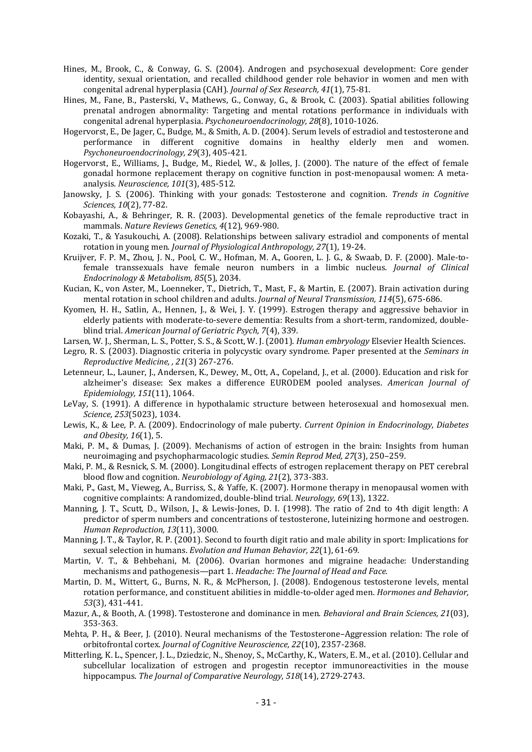- Hines, M., Brook, C., & Conway, G. S. (2004). Androgen and psychosexual development: Core gender identity, sexual orientation, and recalled childhood gender role behavior in women and men with congenital adrenal hyperplasia (CAH). Journal of Sex Research, 41(1), 75-81.
- Hines, M., Fane, B., Pasterski, V., Mathews, G., Conway, G., & Brook, C. (2003). Spatial abilities following prenatal androgen abnormality: Targeting and mental rotations performance in individuals with congenital adrenal hyperplasia. Psychoneuroendocrinology, 28(8), 1010-1026.
- Hogervorst, E., De Jager, C., Budge, M., & Smith, A. D. (2004). Serum levels of estradiol and testosterone and performance in different cognitive domains in healthy elderly men and women. Psychoneuroendocrinology, 29(3), 405-421.
- Hogervorst, E., Williams, J., Budge, M., Riedel, W., & Jolles, J. (2000). The nature of the effect of female gonadal hormone replacement therapy on cognitive function in post-menopausal women: A metaanalysis. Neuroscience, 101(3), 485-512.
- Janowsky, J. S. (2006). Thinking with your gonads: Testosterone and cognition. Trends in Cognitive Sciences, 10(2), 77-82.
- Kobayashi, A., & Behringer, R. R. (2003). Developmental genetics of the female reproductive tract in mammals. Nature Reviews Genetics, 4(12), 969-980.
- Kozaki, T., & Yasukouchi, A. (2008). Relationships between salivary estradiol and components of mental rotation in young men. Journal of Physiological Anthropology, 27(1), 19-24.
- Kruijver, F. P. M., Zhou, J. N., Pool, C. W., Hofman, M. A., Gooren, L. J. G., & Swaab, D. F. (2000). Male-tofemale transsexuals have female neuron numbers in a limbic nucleus. Journal of Clinical Endocrinology & Metabolism, 85(5), 2034.
- Kucian, K., von Aster, M., Loenneker, T., Dietrich, T., Mast, F., & Martin, E. (2007). Brain activation during mental rotation in school children and adults. Journal of Neural Transmission, 114(5), 675-686.
- Kyomen, H. H., Satlin, A., Hennen, J., & Wei, J. Y. (1999). Estrogen therapy and aggressive behavior in elderly patients with moderate-to-severe dementia: Results from a short-term, randomized, doubleblind trial. American Journal of Geriatric Psych, 7(4), 339.
- Larsen, W. J., Sherman, L. S., Potter, S. S., & Scott, W. J. (2001). Human embryology Elsevier Health Sciences.
- Legro, R. S. (2003). Diagnostic criteria in polycystic ovary syndrome. Paper presented at the Seminars in Reproductive Medicine, , 21(3) 267-276.
- Letenneur, L., Launer, J., Andersen, K., Dewey, M., Ott, A., Copeland, J., et al. (2000). Education and risk for alzheimer's disease: Sex makes a difference EURODEM pooled analyses. American Journal of Epidemiology, 151(11), 1064.
- LeVay, S. (1991). A difference in hypothalamic structure between heterosexual and homosexual men. Science, 253(5023), 1034.
- Lewis, K., & Lee, P. A. (2009). Endocrinology of male puberty. Current Opinion in Endocrinology, Diabetes and Obesity, 16(1), 5.
- Maki, P. M., & Dumas, J. (2009). Mechanisms of action of estrogen in the brain: Insights from human neuroimaging and psychopharmacologic studies. Semin Reprod Med, 27(3), 250–259.
- Maki, P. M., & Resnick, S. M. (2000). Longitudinal effects of estrogen replacement therapy on PET cerebral blood flow and cognition. Neurobiology of Aging, 21(2), 373-383.
- Maki, P., Gast, M., Vieweg, A., Burriss, S., & Yaffe, K. (2007). Hormone therapy in menopausal women with cognitive complaints: A randomized, double-blind trial. Neurology, 69(13), 1322.
- Manning, J. T., Scutt, D., Wilson, J., & Lewis-Jones, D. I. (1998). The ratio of 2nd to 4th digit length: A predictor of sperm numbers and concentrations of testosterone, luteinizing hormone and oestrogen. Human Reproduction, 13(11), 3000.
- Manning, J. T., & Taylor, R. P. (2001). Second to fourth digit ratio and male ability in sport: Implications for sexual selection in humans. Evolution and Human Behavior, 22(1), 61-69.
- Martin, V. T., & Behbehani, M. (2006). Ovarian hormones and migraine headache: Understanding mechanisms and pathogenesis—part 1. Headache: The Journal of Head and Face.
- Martin, D. M., Wittert, G., Burns, N. R., & McPherson, J. (2008). Endogenous testosterone levels, mental rotation performance, and constituent abilities in middle-to-older aged men. Hormones and Behavior, 53(3), 431-441.
- Mazur, A., & Booth, A. (1998). Testosterone and dominance in men. Behavioral and Brain Sciences, 21(03), 353-363.
- Mehta, P. H., & Beer, J. (2010). Neural mechanisms of the Testosterone–Aggression relation: The role of orbitofrontal cortex. Journal of Cognitive Neuroscience, 22(10), 2357-2368.
- Mitterling, K. L., Spencer, J. L., Dziedzic, N., Shenoy, S., McCarthy, K., Waters, E. M., et al. (2010). Cellular and subcellular localization of estrogen and progestin receptor immunoreactivities in the mouse hippocampus. The Journal of Comparative Neurology, 518(14), 2729-2743.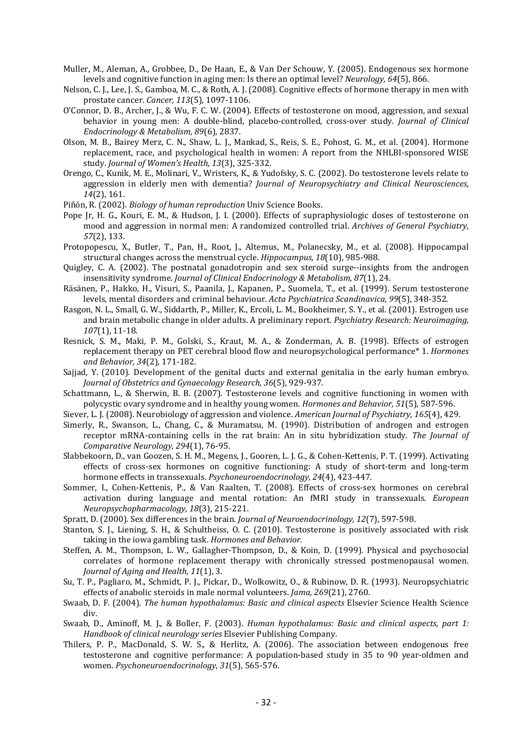- Muller, M., Aleman, A., Grobbee, D., De Haan, E., & Van Der Schouw, Y. (2005). Endogenous sex hormone levels and cognitive function in aging men: Is there an optimal level? Neurology, 64(5), 866.
- Nelson, C. J., Lee, J. S., Gamboa, M. C., & Roth, A. J. (2008). Cognitive effects of hormone therapy in men with prostate cancer. Cancer, 113(5), 1097-1106.
- O'Connor, D. B., Archer, J., & Wu, F. C. W. (2004). Effects of testosterone on mood, aggression, and sexual behavior in young men: A double-blind, placebo-controlled, cross-over study. Journal of Clinical Endocrinology & Metabolism, 89(6), 2837.
- Olson, M. B., Bairey Merz, C. N., Shaw, L. J., Mankad, S., Reis, S. E., Pohost, G. M., et al. (2004). Hormone replacement, race, and psychological health in women: A report from the NHLBI-sponsored WISE study. Journal of Women's Health, 13(3), 325-332.
- Orengo, C., Kunik, M. E., Molinari, V., Wristers, K., & Yudofsky, S. C. (2002). Do testosterone levels relate to aggression in elderly men with dementia? Journal of Neuropsychiatry and Clinical Neurosciences, 14(2), 161.
- Piñón, R. (2002). Biology of human reproduction Univ Science Books.
- Pope Jr, H. G., Kouri, E. M., & Hudson, J. I. (2000). Effects of supraphysiologic doses of testosterone on mood and aggression in normal men: A randomized controlled trial. Archives of General Psychiatry, 57(2), 133.
- Protopopescu, X., Butler, T., Pan, H., Root, J., Altemus, M., Polanecsky, M., et al. (2008). Hippocampal structural changes across the menstrual cycle. Hippocampus, 18(10), 985-988.
- Quigley, C. A. (2002). The postnatal gonadotropin and sex steroid surge--insights from the androgen insensitivity syndrome. Journal of Clinical Endocrinology & Metabolism, 87(1), 24.
- Räsänen, P., Hakko, H., Visuri, S., Paanila, J., Kapanen, P., Suomela, T., et al. (1999). Serum testosterone levels, mental disorders and criminal behaviour. Acta Psychiatrica Scandinavica, 99(5), 348-352.
- Rasgon, N. L., Small, G. W., Siddarth, P., Miller, K., Ercoli, L. M., Bookheimer, S. Y., et al. (2001). Estrogen use and brain metabolic change in older adults. A preliminary report. Psychiatry Research: Neuroimaging, 107(1), 11-18.
- Resnick, S. M., Maki, P. M., Golski, S., Kraut, M. A., & Zonderman, A. B. (1998). Effects of estrogen replacement therapy on PET cerebral blood flow and neuropsychological performance\* 1. Hormones and Behavior, 34(2), 171-182.
- Sajjad, Y. (2010). Development of the genital ducts and external genitalia in the early human embryo. Journal of Obstetrics and Gynaecology Research, 36(5), 929-937.
- Schattmann, L., & Sherwin, B. B. (2007). Testosterone levels and cognitive functioning in women with polycystic ovary syndrome and in healthy young women. Hormones and Behavior, 51(5), 587-596.
- Siever, L. J. (2008). Neurobiology of aggression and violence. American Journal of Psychiatry, 165(4), 429.
- Simerly, R., Swanson, L., Chang, C., & Muramatsu, M. (1990). Distribution of androgen and estrogen receptor mRNA-containing cells in the rat brain: An in situ hybridization study. The Journal of Comparative Neurology, 294(1), 76-95.
- Slabbekoorn, D., van Goozen, S. H. M., Megens, J., Gooren, L. J. G., & Cohen-Kettenis, P. T. (1999). Activating effects of cross-sex hormones on cognitive functioning: A study of short-term and long-term hormone effects in transsexuals. Psychoneuroendocrinology, 24(4), 423-447.
- Sommer, I., Cohen-Kettenis, P., & Van Raalten, T. (2008). Effects of cross-sex hormones on cerebral activation during language and mental rotation: An fMRI study in transsexuals. European Neuropsychopharmacology, 18(3), 215-221.
- Spratt, D. (2000). Sex differences in the brain. Journal of Neuroendocrinology, 12(7), 597-598.
- Stanton, S. J., Liening, S. H., & Schultheiss, O. C. (2010). Testosterone is positively associated with risk taking in the iowa gambling task. Hormones and Behavior.
- Steffen, A. M., Thompson, L. W., Gallagher-Thompson, D., & Koin, D. (1999). Physical and psychosocial correlates of hormone replacement therapy with chronically stressed postmenopausal women. Journal of Aging and Health, 11(1), 3.
- Su, T. P., Pagliaro, M., Schmidt, P. J., Pickar, D., Wolkowitz, O., & Rubinow, D. R. (1993). Neuropsychiatric effects of anabolic steroids in male normal volunteers. Jama, 269(21), 2760.
- Swaab, D. F. (2004). The human hypothalamus: Basic and clinical aspects Elsevier Science Health Science div.
- Swaab, D., Aminoff, M. J., & Boller, F. (2003). Human hypothalamus: Basic and clinical aspects, part 1: Handbook of clinical neurology series Elsevier Publishing Company.
- Thilers, P. P., MacDonald, S. W. S., & Herlitz, A. (2006). The association between endogenous free testosterone and cognitive performance: A population-based study in 35 to 90 year-oldmen and women. Psychoneuroendocrinology, 31(5), 565-576.